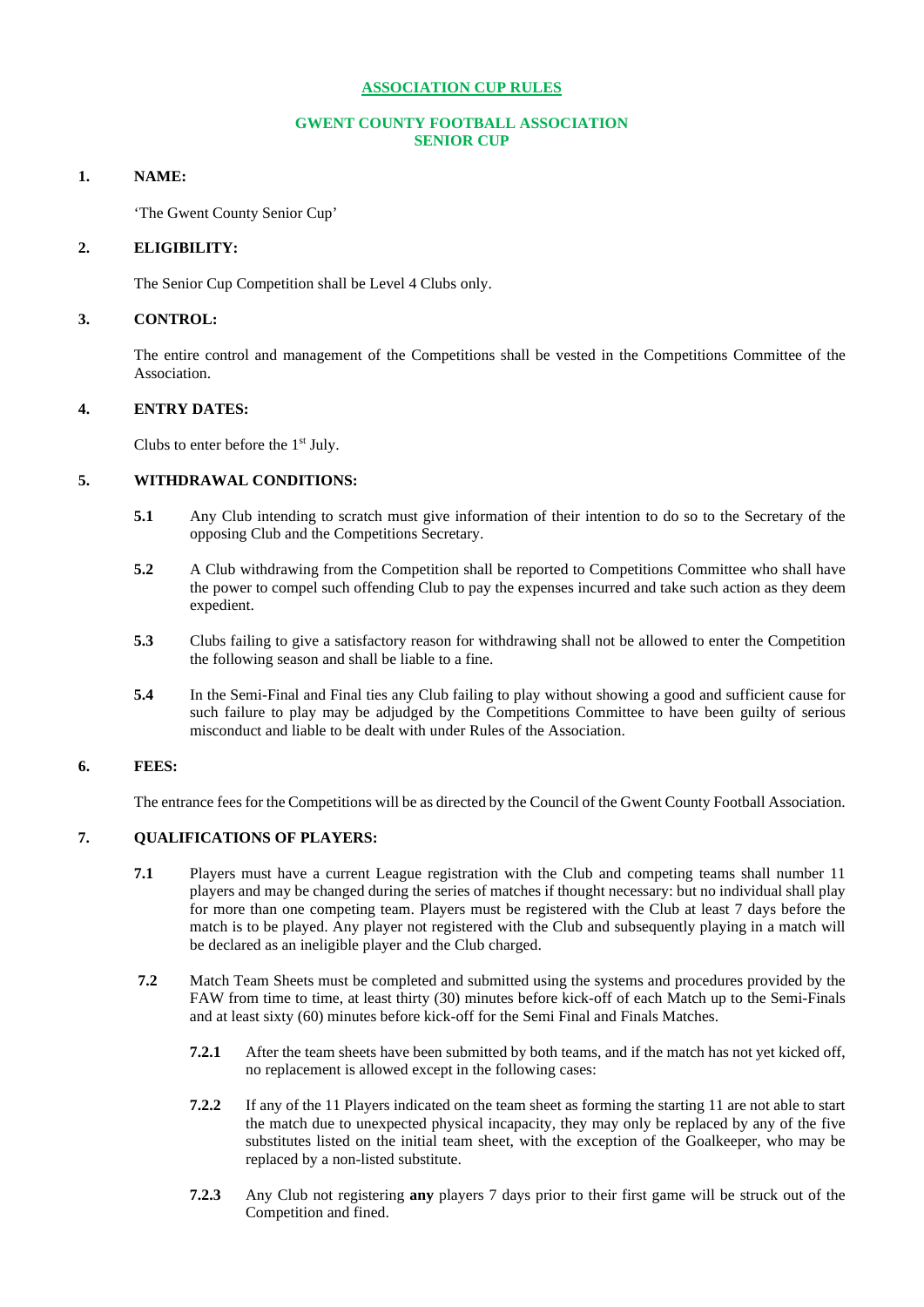# **ASSOCIATION CUP RULES**

# **GWENT COUNTY FOOTBALL ASSOCIATION SENIOR CUP**

# **1. NAME:**

'The Gwent County Senior Cup'

# **2. ELIGIBILITY:**

The Senior Cup Competition shall be Level 4 Clubs only.

# **3. CONTROL:**

The entire control and management of the Competitions shall be vested in the Competitions Committee of the Association.

# **4. ENTRY DATES:**

Clubs to enter before the  $1<sup>st</sup>$  July.

# **5. WITHDRAWAL CONDITIONS:**

- **5.1** Any Club intending to scratch must give information of their intention to do so to the Secretary of the opposing Club and the Competitions Secretary.
- **5.2** A Club withdrawing from the Competition shall be reported to Competitions Committee who shall have the power to compel such offending Club to pay the expenses incurred and take such action as they deem expedient.
- **5.3** Clubs failing to give a satisfactory reason for withdrawing shall not be allowed to enter the Competition the following season and shall be liable to a fine.
- **5.4** In the Semi-Final and Final ties any Club failing to play without showing a good and sufficient cause for such failure to play may be adjudged by the Competitions Committee to have been guilty of serious misconduct and liable to be dealt with under Rules of the Association.

# **6. FEES:**

The entrance fees for the Competitions will be as directed by the Council of the Gwent County Football Association.

# **7. QUALIFICATIONS OF PLAYERS:**

- **7.1** Players must have a current League registration with the Club and competing teams shall number 11 players and may be changed during the series of matches if thought necessary: but no individual shall play for more than one competing team. Players must be registered with the Club at least 7 days before the match is to be played. Any player not registered with the Club and subsequently playing in a match will be declared as an ineligible player and the Club charged.
- **7.2** Match Team Sheets must be completed and submitted using the systems and procedures provided by the FAW from time to time, at least thirty (30) minutes before kick-off of each Match up to the Semi-Finals and at least sixty (60) minutes before kick-off for the Semi Final and Finals Matches.
	- **7.2.1** After the team sheets have been submitted by both teams, and if the match has not yet kicked off, no replacement is allowed except in the following cases:
	- **7.2.2** If any of the 11 Players indicated on the team sheet as forming the starting 11 are not able to start the match due to unexpected physical incapacity, they may only be replaced by any of the five substitutes listed on the initial team sheet, with the exception of the Goalkeeper, who may be replaced by a non-listed substitute.
	- **7.2.3** Any Club not registering **any** players 7 days prior to their first game will be struck out of the Competition and fined.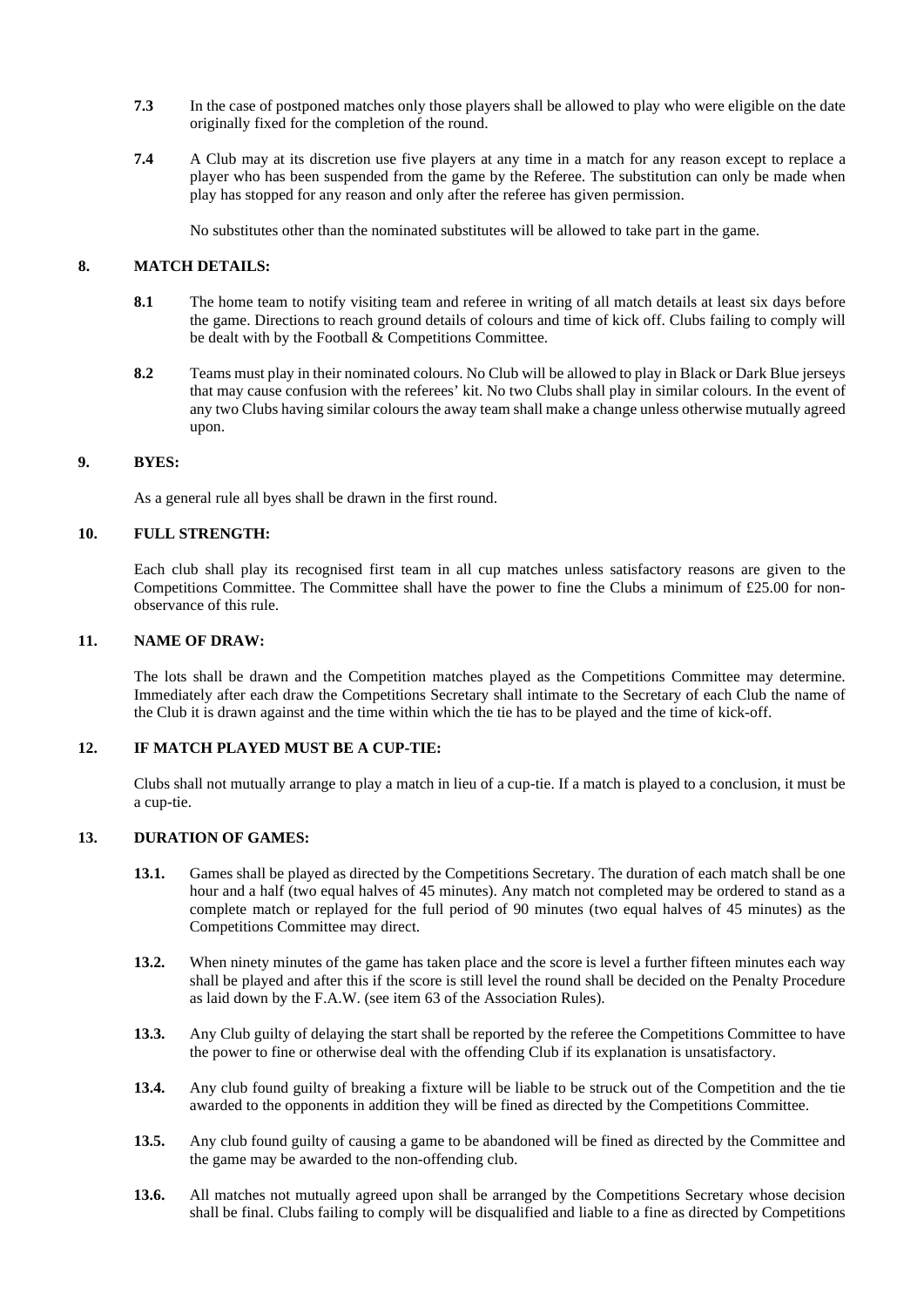- **7.3** In the case of postponed matches only those players shall be allowed to play who were eligible on the date originally fixed for the completion of the round.
- **7.4** A Club may at its discretion use five players at any time in a match for any reason except to replace a player who has been suspended from the game by the Referee. The substitution can only be made when play has stopped for any reason and only after the referee has given permission.

No substitutes other than the nominated substitutes will be allowed to take part in the game.

# **8. MATCH DETAILS:**

- **8.1** The home team to notify visiting team and referee in writing of all match details at least six days before the game. Directions to reach ground details of colours and time of kick off. Clubs failing to comply will be dealt with by the Football & Competitions Committee.
- **8.2** Teams must play in their nominated colours. No Club will be allowed to play in Black or Dark Blue jerseys that may cause confusion with the referees' kit. No two Clubs shall play in similar colours. In the event of any two Clubs having similar colours the away team shall make a change unless otherwise mutually agreed upon.

### **9. BYES:**

As a general rule all byes shall be drawn in the first round.

# **10. FULL STRENGTH:**

Each club shall play its recognised first team in all cup matches unless satisfactory reasons are given to the Competitions Committee. The Committee shall have the power to fine the Clubs a minimum of £25.00 for nonobservance of this rule.

# **11. NAME OF DRAW:**

The lots shall be drawn and the Competition matches played as the Competitions Committee may determine. Immediately after each draw the Competitions Secretary shall intimate to the Secretary of each Club the name of the Club it is drawn against and the time within which the tie has to be played and the time of kick-off.

# **12. IF MATCH PLAYED MUST BE A CUP-TIE:**

Clubs shall not mutually arrange to play a match in lieu of a cup-tie. If a match is played to a conclusion, it must be a cup-tie.

# **13. DURATION OF GAMES:**

- **13.1.** Games shall be played as directed by the Competitions Secretary. The duration of each match shall be one hour and a half (two equal halves of 45 minutes). Any match not completed may be ordered to stand as a complete match or replayed for the full period of 90 minutes (two equal halves of 45 minutes) as the Competitions Committee may direct.
- **13.2.** When ninety minutes of the game has taken place and the score is level a further fifteen minutes each way shall be played and after this if the score is still level the round shall be decided on the Penalty Procedure as laid down by the F.A.W. (see item 63 of the Association Rules).
- **13.3.** Any Club guilty of delaying the start shall be reported by the referee the Competitions Committee to have the power to fine or otherwise deal with the offending Club if its explanation is unsatisfactory.
- **13.4.** Any club found guilty of breaking a fixture will be liable to be struck out of the Competition and the tie awarded to the opponents in addition they will be fined as directed by the Competitions Committee.
- **13.5.** Any club found guilty of causing a game to be abandoned will be fined as directed by the Committee and the game may be awarded to the non-offending club.
- 13.6. All matches not mutually agreed upon shall be arranged by the Competitions Secretary whose decision shall be final. Clubs failing to comply will be disqualified and liable to a fine as directed by Competitions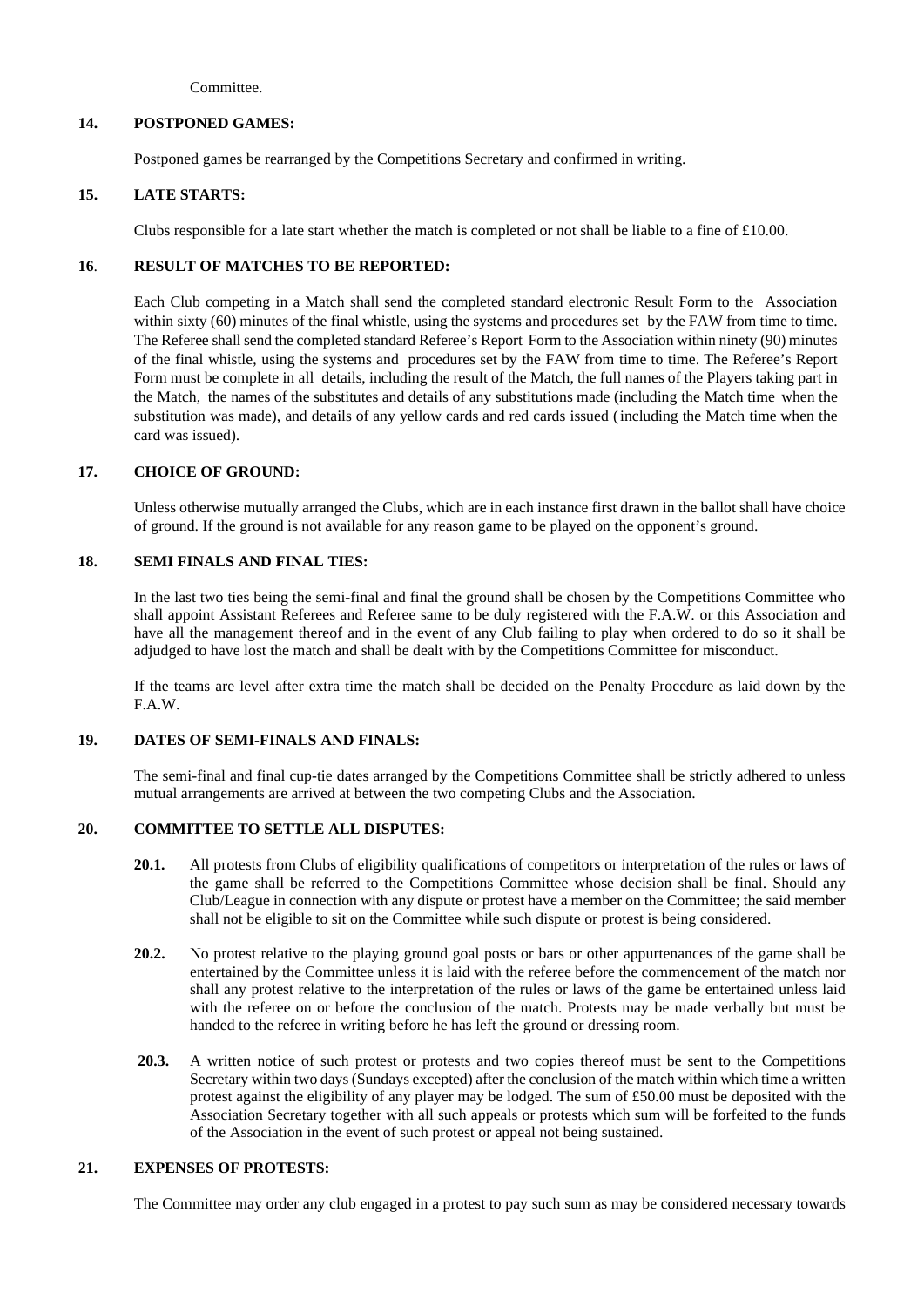Committee.

# **14. POSTPONED GAMES:**

Postponed games be rearranged by the Competitions Secretary and confirmed in writing.

# **15. LATE STARTS:**

Clubs responsible for a late start whether the match is completed or not shall be liable to a fine of £10.00.

# **16**. **RESULT OF MATCHES TO BE REPORTED:**

Each Club competing in a Match shall send the completed standard electronic Result Form to the Association within sixty (60) minutes of the final whistle, using the systems and procedures set by the FAW from time to time. The Referee shallsend the completed standard Referee's Report Form to the Association within ninety (90) minutes of the final whistle, using the systems and procedures set by the FAW from time to time. The Referee's Report Form must be complete in all details, including the result of the Match, the full names of the Players taking part in the Match, the names of the substitutes and details of any substitutions made (including the Match time when the substitution was made), and details of any yellow cards and red cards issued (including the Match time when the card was issued).

# **17. CHOICE OF GROUND:**

Unless otherwise mutually arranged the Clubs, which are in each instance first drawn in the ballot shall have choice of ground. If the ground is not available for any reason game to be played on the opponent's ground.

### **18. SEMI FINALS AND FINAL TIES:**

In the last two ties being the semi-final and final the ground shall be chosen by the Competitions Committee who shall appoint Assistant Referees and Referee same to be duly registered with the F.A.W. or this Association and have all the management thereof and in the event of any Club failing to play when ordered to do so it shall be adjudged to have lost the match and shall be dealt with by the Competitions Committee for misconduct.

If the teams are level after extra time the match shall be decided on the Penalty Procedure as laid down by the F.A.W.

# **19. DATES OF SEMI-FINALS AND FINALS:**

The semi-final and final cup-tie dates arranged by the Competitions Committee shall be strictly adhered to unless mutual arrangements are arrived at between the two competing Clubs and the Association.

# **20. COMMITTEE TO SETTLE ALL DISPUTES:**

- **20.1.** All protests from Clubs of eligibility qualifications of competitors or interpretation of the rules or laws of the game shall be referred to the Competitions Committee whose decision shall be final. Should any Club/League in connection with any dispute or protest have a member on the Committee; the said member shall not be eligible to sit on the Committee while such dispute or protest is being considered.
- **20.2.** No protest relative to the playing ground goal posts or bars or other appurtenances of the game shall be entertained by the Committee unless it is laid with the referee before the commencement of the match nor shall any protest relative to the interpretation of the rules or laws of the game be entertained unless laid with the referee on or before the conclusion of the match. Protests may be made verbally but must be handed to the referee in writing before he has left the ground or dressing room.
- **20.3.** A written notice of such protest or protests and two copies thereof must be sent to the Competitions Secretary within two days (Sundays excepted) after the conclusion of the match within which time a written protest against the eligibility of any player may be lodged. The sum of £50.00 must be deposited with the Association Secretary together with all such appeals or protests which sum will be forfeited to the funds of the Association in the event of such protest or appeal not being sustained.

# **21. EXPENSES OF PROTESTS:**

The Committee may order any club engaged in a protest to pay such sum as may be considered necessary towards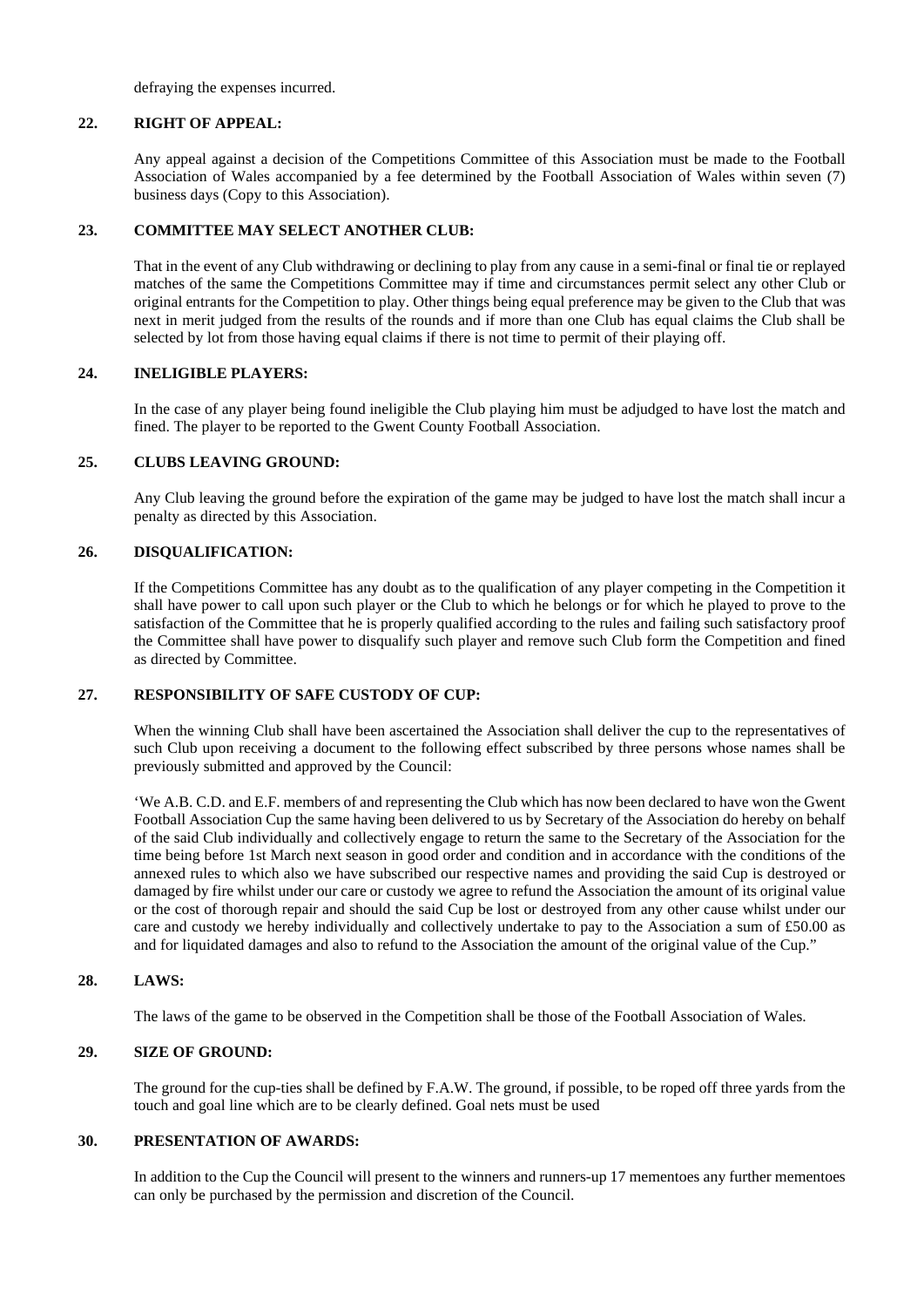defraying the expenses incurred.

### **22. RIGHT OF APPEAL:**

Any appeal against a decision of the Competitions Committee of this Association must be made to the Football Association of Wales accompanied by a fee determined by the Football Association of Wales within seven (7) business days (Copy to this Association).

### **23. COMMITTEE MAY SELECT ANOTHER CLUB:**

That in the event of any Club withdrawing or declining to play from any cause in a semi-final or final tie or replayed matches of the same the Competitions Committee may if time and circumstances permit select any other Club or original entrants for the Competition to play. Other things being equal preference may be given to the Club that was next in merit judged from the results of the rounds and if more than one Club has equal claims the Club shall be selected by lot from those having equal claims if there is not time to permit of their playing off.

### **24. INELIGIBLE PLAYERS:**

In the case of any player being found ineligible the Club playing him must be adjudged to have lost the match and fined. The player to be reported to the Gwent County Football Association.

### **25. CLUBS LEAVING GROUND:**

Any Club leaving the ground before the expiration of the game may be judged to have lost the match shall incur a penalty as directed by this Association.

### **26. DISQUALIFICATION:**

If the Competitions Committee has any doubt as to the qualification of any player competing in the Competition it shall have power to call upon such player or the Club to which he belongs or for which he played to prove to the satisfaction of the Committee that he is properly qualified according to the rules and failing such satisfactory proof the Committee shall have power to disqualify such player and remove such Club form the Competition and fined as directed by Committee.

# **27. RESPONSIBILITY OF SAFE CUSTODY OF CUP:**

When the winning Club shall have been ascertained the Association shall deliver the cup to the representatives of such Club upon receiving a document to the following effect subscribed by three persons whose names shall be previously submitted and approved by the Council:

'We A.B. C.D. and E.F. members of and representing the Club which has now been declared to have won the Gwent Football Association Cup the same having been delivered to us by Secretary of the Association do hereby on behalf of the said Club individually and collectively engage to return the same to the Secretary of the Association for the time being before 1st March next season in good order and condition and in accordance with the conditions of the annexed rules to which also we have subscribed our respective names and providing the said Cup is destroyed or damaged by fire whilst under our care or custody we agree to refund the Association the amount of its original value or the cost of thorough repair and should the said Cup be lost or destroyed from any other cause whilst under our care and custody we hereby individually and collectively undertake to pay to the Association a sum of £50.00 as and for liquidated damages and also to refund to the Association the amount of the original value of the Cup."

# **28. LAWS:**

The laws of the game to be observed in the Competition shall be those of the Football Association of Wales.

# **29. SIZE OF GROUND:**

The ground for the cup-ties shall be defined by F.A.W. The ground, if possible, to be roped off three yards from the touch and goal line which are to be clearly defined. Goal nets must be used

#### **30. PRESENTATION OF AWARDS:**

In addition to the Cup the Council will present to the winners and runners-up 17 mementoes any further mementoes can only be purchased by the permission and discretion of the Council.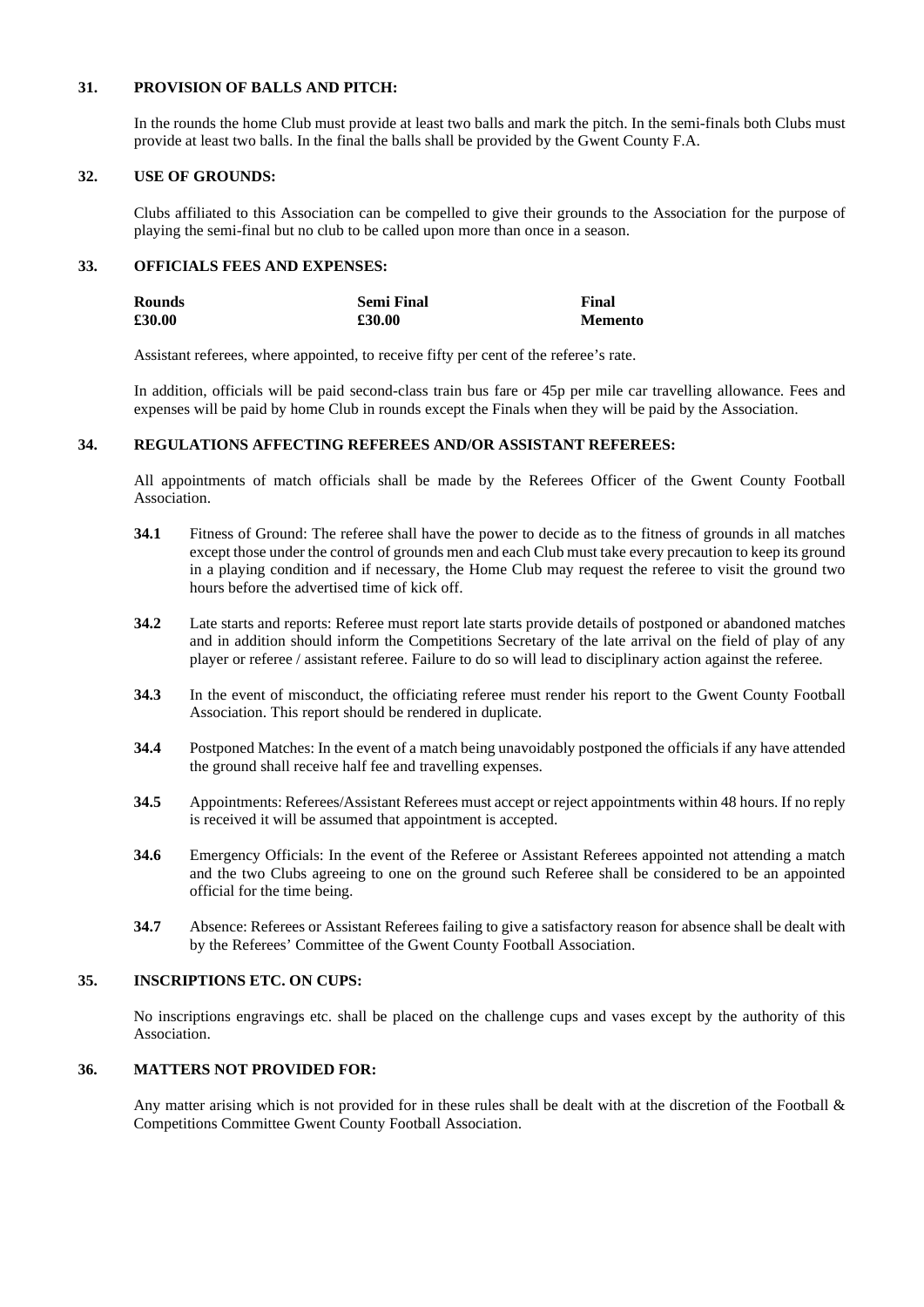# **31. PROVISION OF BALLS AND PITCH:**

In the rounds the home Club must provide at least two balls and mark the pitch. In the semi-finals both Clubs must provide at least two balls. In the final the balls shall be provided by the Gwent County F.A.

# **32. USE OF GROUNDS:**

Clubs affiliated to this Association can be compelled to give their grounds to the Association for the purpose of playing the semi-final but no club to be called upon more than once in a season.

# **33. OFFICIALS FEES AND EXPENSES:**

| Rounds | <b>Semi Final</b> | Final          |
|--------|-------------------|----------------|
| £30.00 | £30.00            | <b>Memento</b> |

Assistant referees, where appointed, to receive fifty per cent of the referee's rate.

In addition, officials will be paid second-class train bus fare or 45p per mile car travelling allowance. Fees and expenses will be paid by home Club in rounds except the Finals when they will be paid by the Association.

# **34. REGULATIONS AFFECTING REFEREES AND/OR ASSISTANT REFEREES:**

All appointments of match officials shall be made by the Referees Officer of the Gwent County Football Association.

- **34.1** Fitness of Ground: The referee shall have the power to decide as to the fitness of grounds in all matches except those under the control of grounds men and each Club must take every precaution to keep its ground in a playing condition and if necessary, the Home Club may request the referee to visit the ground two hours before the advertised time of kick off.
- **34.2** Late starts and reports: Referee must report late starts provide details of postponed or abandoned matches and in addition should inform the Competitions Secretary of the late arrival on the field of play of any player or referee / assistant referee. Failure to do so will lead to disciplinary action against the referee.
- **34.3** In the event of misconduct, the officiating referee must render his report to the Gwent County Football Association. This report should be rendered in duplicate.
- **34.4** Postponed Matches: In the event of a match being unavoidably postponed the officials if any have attended the ground shall receive half fee and travelling expenses.
- **34.5** Appointments: Referees/Assistant Referees must accept or reject appointments within 48 hours. If no reply is received it will be assumed that appointment is accepted.
- **34.6** Emergency Officials: In the event of the Referee or Assistant Referees appointed not attending a match and the two Clubs agreeing to one on the ground such Referee shall be considered to be an appointed official for the time being.
- **34.7** Absence: Referees or Assistant Referees failing to give a satisfactory reason for absence shall be dealt with by the Referees' Committee of the Gwent County Football Association.

# **35. INSCRIPTIONS ETC. ON CUPS:**

No inscriptions engravings etc. shall be placed on the challenge cups and vases except by the authority of this Association.

# **36. MATTERS NOT PROVIDED FOR:**

Any matter arising which is not provided for in these rules shall be dealt with at the discretion of the Football & Competitions Committee Gwent County Football Association.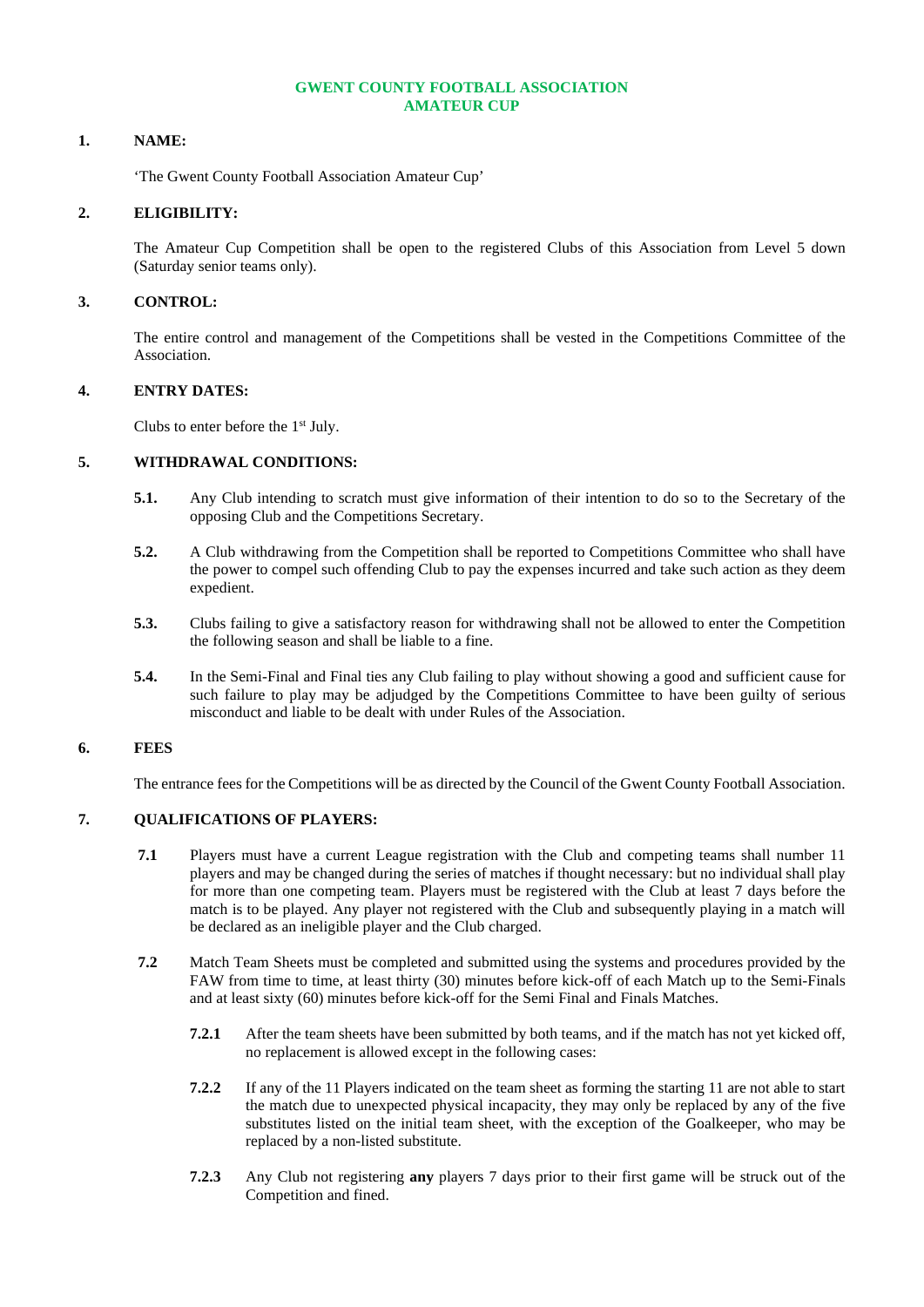### **GWENT COUNTY FOOTBALL ASSOCIATION AMATEUR CUP**

### **1. NAME:**

'The Gwent County Football Association Amateur Cup'

### **2. ELIGIBILITY:**

The Amateur Cup Competition shall be open to the registered Clubs of this Association from Level 5 down (Saturday senior teams only).

# **3. CONTROL:**

The entire control and management of the Competitions shall be vested in the Competitions Committee of the Association.

### **4. ENTRY DATES:**

Clubs to enter before the 1st July.

### **5. WITHDRAWAL CONDITIONS:**

- **5.1.** Any Club intending to scratch must give information of their intention to do so to the Secretary of the opposing Club and the Competitions Secretary.
- **5.2.** A Club withdrawing from the Competition shall be reported to Competitions Committee who shall have the power to compel such offending Club to pay the expenses incurred and take such action as they deem expedient.
- **5.3.** Clubs failing to give a satisfactory reason for withdrawing shall not be allowed to enter the Competition the following season and shall be liable to a fine.
- **5.4.** In the Semi-Final and Final ties any Club failing to play without showing a good and sufficient cause for such failure to play may be adjudged by the Competitions Committee to have been guilty of serious misconduct and liable to be dealt with under Rules of the Association.

# **6. FEES**

The entrance fees for the Competitions will be as directed by the Council of the Gwent County Football Association.

# **7. QUALIFICATIONS OF PLAYERS:**

- **7.1** Players must have a current League registration with the Club and competing teams shall number 11 players and may be changed during the series of matches if thought necessary: but no individual shall play for more than one competing team. Players must be registered with the Club at least 7 days before the match is to be played. Any player not registered with the Club and subsequently playing in a match will be declared as an ineligible player and the Club charged.
- **7.2** Match Team Sheets must be completed and submitted using the systems and procedures provided by the FAW from time to time, at least thirty (30) minutes before kick-off of each Match up to the Semi-Finals and at least sixty (60) minutes before kick-off for the Semi Final and Finals Matches.
	- **7.2.1** After the team sheets have been submitted by both teams, and if the match has not yet kicked off, no replacement is allowed except in the following cases:
	- **7.2.2** If any of the 11 Players indicated on the team sheet as forming the starting 11 are not able to start the match due to unexpected physical incapacity, they may only be replaced by any of the five substitutes listed on the initial team sheet, with the exception of the Goalkeeper, who may be replaced by a non-listed substitute.
	- **7.2.3** Any Club not registering **any** players 7 days prior to their first game will be struck out of the Competition and fined.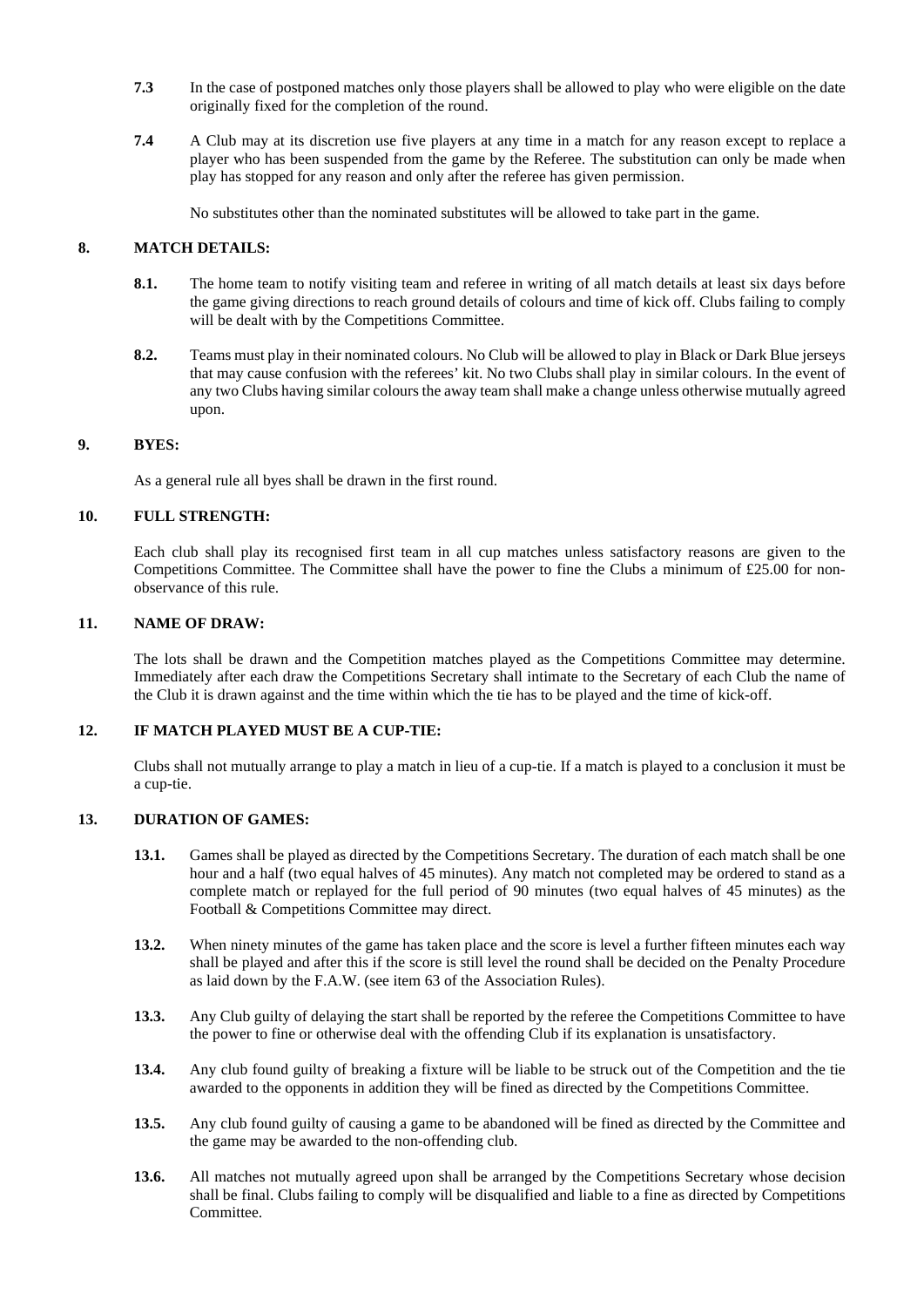- **7.3** In the case of postponed matches only those players shall be allowed to play who were eligible on the date originally fixed for the completion of the round.
- **7.4** A Club may at its discretion use five players at any time in a match for any reason except to replace a player who has been suspended from the game by the Referee. The substitution can only be made when play has stopped for any reason and only after the referee has given permission.

No substitutes other than the nominated substitutes will be allowed to take part in the game.

# **8. MATCH DETAILS:**

- **8.1.** The home team to notify visiting team and referee in writing of all match details at least six days before the game giving directions to reach ground details of colours and time of kick off. Clubs failing to comply will be dealt with by the Competitions Committee.
- **8.2.** Teams must play in their nominated colours. No Club will be allowed to play in Black or Dark Blue jerseys that may cause confusion with the referees' kit. No two Clubs shall play in similar colours. In the event of any two Clubs having similar colours the away team shall make a change unless otherwise mutually agreed upon.

### **9. BYES:**

As a general rule all byes shall be drawn in the first round.

# **10. FULL STRENGTH:**

Each club shall play its recognised first team in all cup matches unless satisfactory reasons are given to the Competitions Committee. The Committee shall have the power to fine the Clubs a minimum of £25.00 for nonobservance of this rule.

### **11. NAME OF DRAW:**

The lots shall be drawn and the Competition matches played as the Competitions Committee may determine. Immediately after each draw the Competitions Secretary shall intimate to the Secretary of each Club the name of the Club it is drawn against and the time within which the tie has to be played and the time of kick-off.

#### **12. IF MATCH PLAYED MUST BE A CUP-TIE:**

Clubs shall not mutually arrange to play a match in lieu of a cup-tie. If a match is played to a conclusion it must be a cup-tie.

# **13. DURATION OF GAMES:**

- **13.1.** Games shall be played as directed by the Competitions Secretary. The duration of each match shall be one hour and a half (two equal halves of 45 minutes). Any match not completed may be ordered to stand as a complete match or replayed for the full period of 90 minutes (two equal halves of 45 minutes) as the Football & Competitions Committee may direct.
- **13.2.** When ninety minutes of the game has taken place and the score is level a further fifteen minutes each way shall be played and after this if the score is still level the round shall be decided on the Penalty Procedure as laid down by the F.A.W. (see item 63 of the Association Rules).
- **13.3.** Any Club guilty of delaying the start shall be reported by the referee the Competitions Committee to have the power to fine or otherwise deal with the offending Club if its explanation is unsatisfactory.
- **13.4.** Any club found guilty of breaking a fixture will be liable to be struck out of the Competition and the tie awarded to the opponents in addition they will be fined as directed by the Competitions Committee.
- **13.5.** Any club found guilty of causing a game to be abandoned will be fined as directed by the Committee and the game may be awarded to the non-offending club.
- 13.6. All matches not mutually agreed upon shall be arranged by the Competitions Secretary whose decision shall be final. Clubs failing to comply will be disqualified and liable to a fine as directed by Competitions Committee.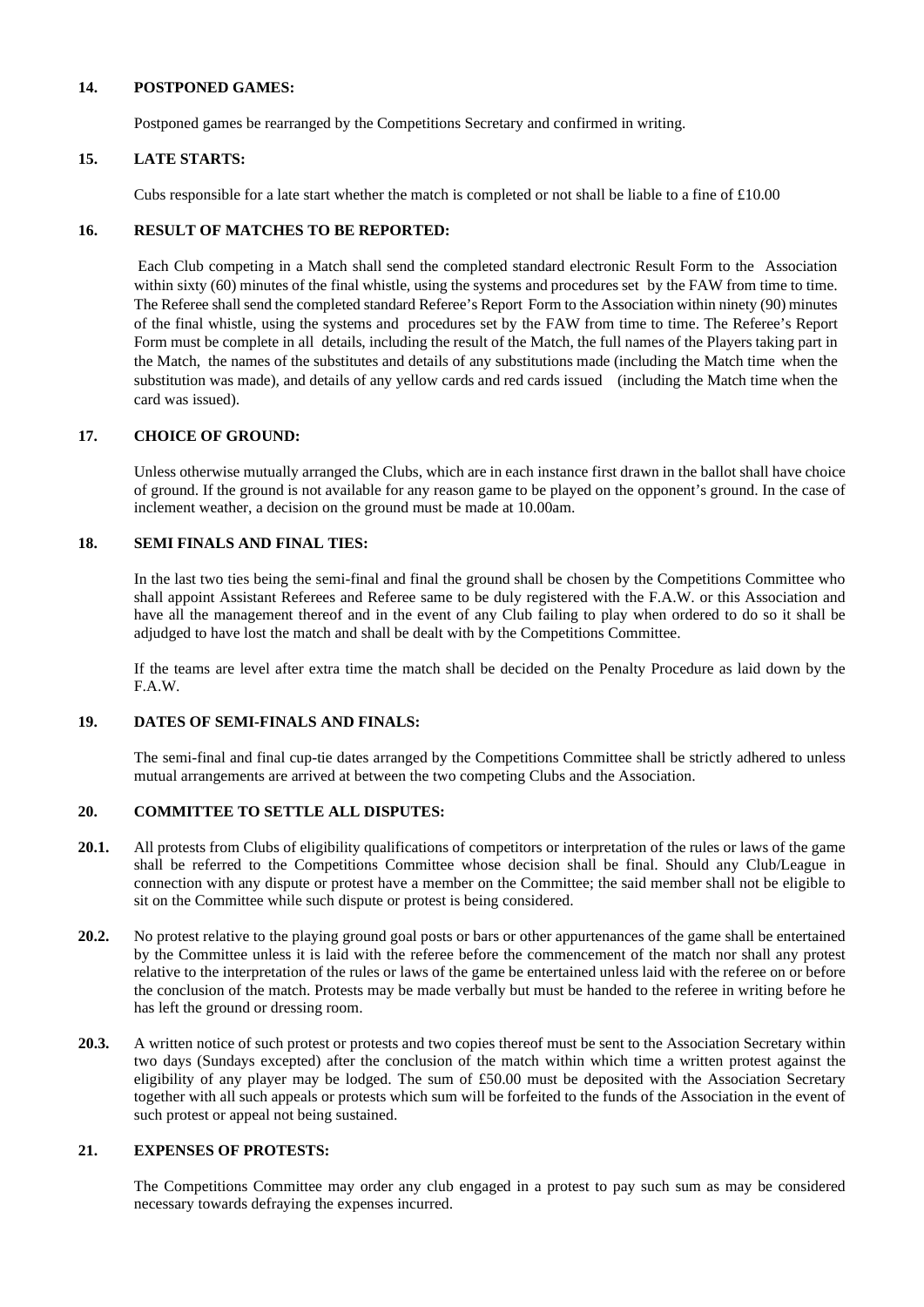# **14. POSTPONED GAMES:**

Postponed games be rearranged by the Competitions Secretary and confirmed in writing.

### **15. LATE STARTS:**

Cubs responsible for a late start whether the match is completed or not shall be liable to a fine of  $\text{\pounds}10.00$ 

### **16. RESULT OF MATCHES TO BE REPORTED:**

Each Club competing in a Match shall send the completed standard electronic Result Form to the Association within sixty (60) minutes of the final whistle, using the systems and procedures set by the FAW from time to time. The Referee shallsend the completed standard Referee's Report Form to the Association within ninety (90) minutes of the final whistle, using the systems and procedures set by the FAW from time to time. The Referee's Report Form must be complete in all details, including the result of the Match, the full names of the Players taking part in the Match, the names of the substitutes and details of any substitutions made (including the Match time when the substitution was made), and details of any yellow cards and red cards issued (including the Match time when the card was issued).

### **17. CHOICE OF GROUND:**

Unless otherwise mutually arranged the Clubs, which are in each instance first drawn in the ballot shall have choice of ground. If the ground is not available for any reason game to be played on the opponent's ground. In the case of inclement weather, a decision on the ground must be made at 10.00am.

# **18. SEMI FINALS AND FINAL TIES:**

In the last two ties being the semi-final and final the ground shall be chosen by the Competitions Committee who shall appoint Assistant Referees and Referee same to be duly registered with the F.A.W. or this Association and have all the management thereof and in the event of any Club failing to play when ordered to do so it shall be adjudged to have lost the match and shall be dealt with by the Competitions Committee.

If the teams are level after extra time the match shall be decided on the Penalty Procedure as laid down by the F.A.W.

# **19. DATES OF SEMI-FINALS AND FINALS:**

The semi-final and final cup-tie dates arranged by the Competitions Committee shall be strictly adhered to unless mutual arrangements are arrived at between the two competing Clubs and the Association.

# **20. COMMITTEE TO SETTLE ALL DISPUTES:**

- **20.1.** All protests from Clubs of eligibility qualifications of competitors or interpretation of the rules or laws of the game shall be referred to the Competitions Committee whose decision shall be final. Should any Club/League in connection with any dispute or protest have a member on the Committee; the said member shall not be eligible to sit on the Committee while such dispute or protest is being considered.
- **20.2.** No protest relative to the playing ground goal posts or bars or other appurtenances of the game shall be entertained by the Committee unless it is laid with the referee before the commencement of the match nor shall any protest relative to the interpretation of the rules or laws of the game be entertained unless laid with the referee on or before the conclusion of the match. Protests may be made verbally but must be handed to the referee in writing before he has left the ground or dressing room.
- **20.3.** A written notice of such protest or protests and two copies thereof must be sent to the Association Secretary within two days (Sundays excepted) after the conclusion of the match within which time a written protest against the eligibility of any player may be lodged. The sum of £50.00 must be deposited with the Association Secretary together with all such appeals or protests which sum will be forfeited to the funds of the Association in the event of such protest or appeal not being sustained.

### **21. EXPENSES OF PROTESTS:**

The Competitions Committee may order any club engaged in a protest to pay such sum as may be considered necessary towards defraying the expenses incurred.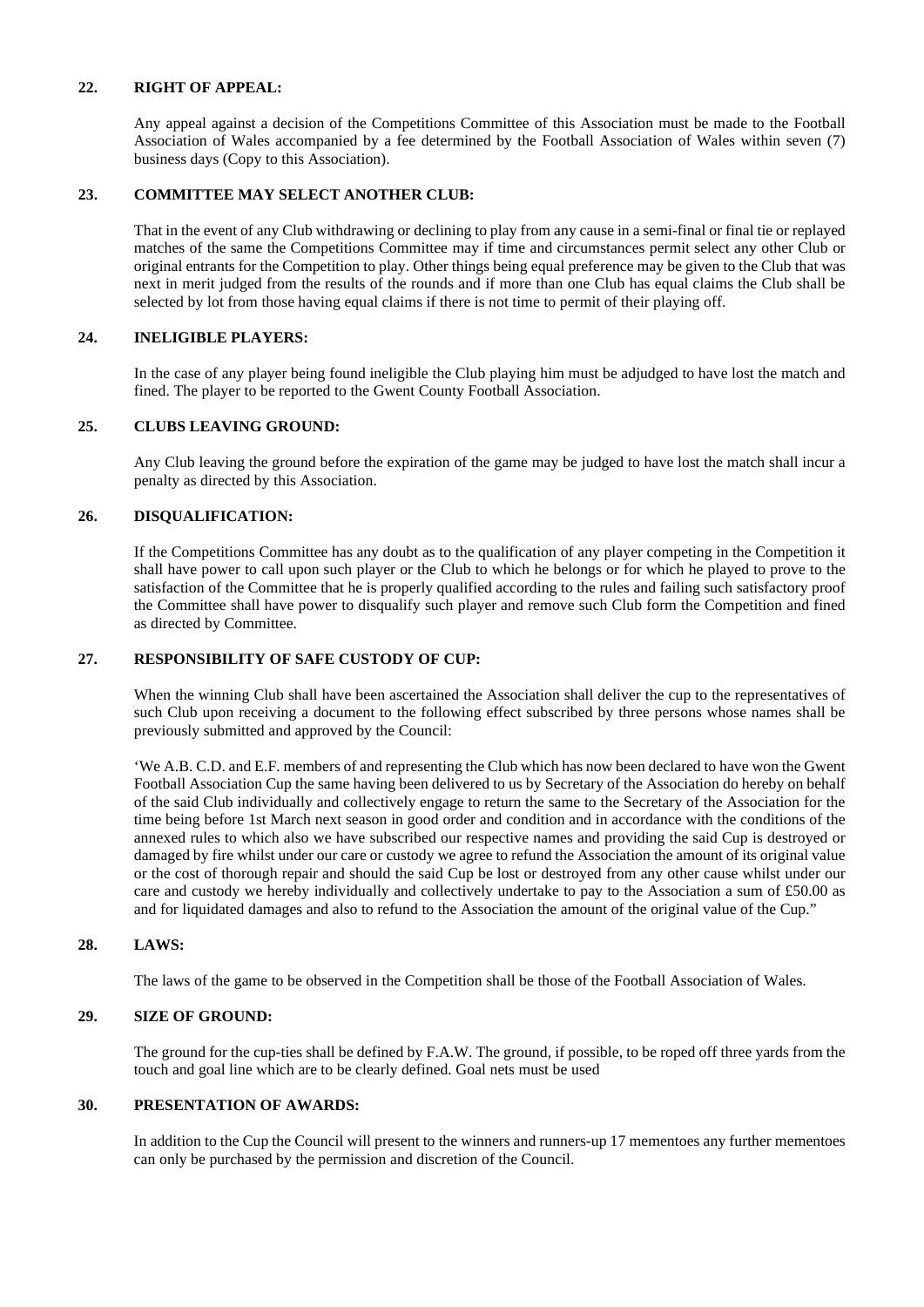# **22. RIGHT OF APPEAL:**

Any appeal against a decision of the Competitions Committee of this Association must be made to the Football Association of Wales accompanied by a fee determined by the Football Association of Wales within seven (7) business days (Copy to this Association).

# **23. COMMITTEE MAY SELECT ANOTHER CLUB:**

That in the event of any Club withdrawing or declining to play from any cause in a semi-final or final tie or replayed matches of the same the Competitions Committee may if time and circumstances permit select any other Club or original entrants for the Competition to play. Other things being equal preference may be given to the Club that was next in merit judged from the results of the rounds and if more than one Club has equal claims the Club shall be selected by lot from those having equal claims if there is not time to permit of their playing off.

# **24. INELIGIBLE PLAYERS:**

In the case of any player being found ineligible the Club playing him must be adjudged to have lost the match and fined. The player to be reported to the Gwent County Football Association.

### **25. CLUBS LEAVING GROUND:**

Any Club leaving the ground before the expiration of the game may be judged to have lost the match shall incur a penalty as directed by this Association.

### **26. DISQUALIFICATION:**

If the Competitions Committee has any doubt as to the qualification of any player competing in the Competition it shall have power to call upon such player or the Club to which he belongs or for which he played to prove to the satisfaction of the Committee that he is properly qualified according to the rules and failing such satisfactory proof the Committee shall have power to disqualify such player and remove such Club form the Competition and fined as directed by Committee.

# **27. RESPONSIBILITY OF SAFE CUSTODY OF CUP:**

When the winning Club shall have been ascertained the Association shall deliver the cup to the representatives of such Club upon receiving a document to the following effect subscribed by three persons whose names shall be previously submitted and approved by the Council:

'We A.B. C.D. and E.F. members of and representing the Club which has now been declared to have won the Gwent Football Association Cup the same having been delivered to us by Secretary of the Association do hereby on behalf of the said Club individually and collectively engage to return the same to the Secretary of the Association for the time being before 1st March next season in good order and condition and in accordance with the conditions of the annexed rules to which also we have subscribed our respective names and providing the said Cup is destroyed or damaged by fire whilst under our care or custody we agree to refund the Association the amount of its original value or the cost of thorough repair and should the said Cup be lost or destroyed from any other cause whilst under our care and custody we hereby individually and collectively undertake to pay to the Association a sum of £50.00 as and for liquidated damages and also to refund to the Association the amount of the original value of the Cup."

#### **28. LAWS:**

The laws of the game to be observed in the Competition shall be those of the Football Association of Wales.

# **29. SIZE OF GROUND:**

The ground for the cup-ties shall be defined by F.A.W. The ground, if possible, to be roped off three yards from the touch and goal line which are to be clearly defined. Goal nets must be used

### **30. PRESENTATION OF AWARDS:**

In addition to the Cup the Council will present to the winners and runners-up 17 mementoes any further mementoes can only be purchased by the permission and discretion of the Council.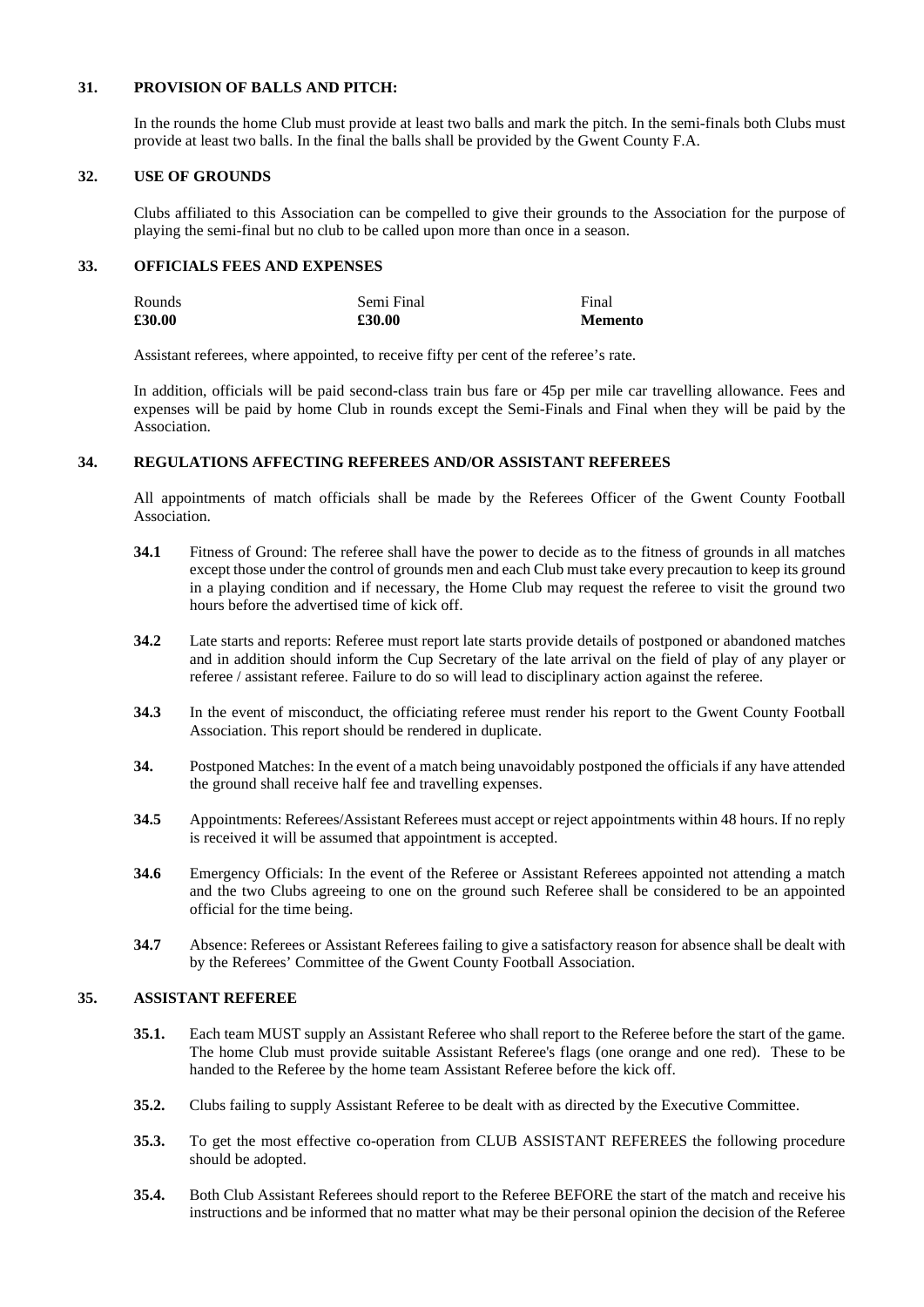# **31. PROVISION OF BALLS AND PITCH:**

In the rounds the home Club must provide at least two balls and mark the pitch. In the semi-finals both Clubs must provide at least two balls. In the final the balls shall be provided by the Gwent County F.A.

# **32. USE OF GROUNDS**

Clubs affiliated to this Association can be compelled to give their grounds to the Association for the purpose of playing the semi-final but no club to be called upon more than once in a season.

# **33. OFFICIALS FEES AND EXPENSES**

| Rounds | Semi Final | Final          |
|--------|------------|----------------|
| £30.00 | £30.00     | <b>Memento</b> |

Assistant referees, where appointed, to receive fifty per cent of the referee's rate.

In addition, officials will be paid second-class train bus fare or 45p per mile car travelling allowance. Fees and expenses will be paid by home Club in rounds except the Semi-Finals and Final when they will be paid by the Association.

# **34. REGULATIONS AFFECTING REFEREES AND/OR ASSISTANT REFEREES**

All appointments of match officials shall be made by the Referees Officer of the Gwent County Football Association.

- **34.1** Fitness of Ground: The referee shall have the power to decide as to the fitness of grounds in all matches except those under the control of grounds men and each Club must take every precaution to keep its ground in a playing condition and if necessary, the Home Club may request the referee to visit the ground two hours before the advertised time of kick off.
- **34.2** Late starts and reports: Referee must report late starts provide details of postponed or abandoned matches and in addition should inform the Cup Secretary of the late arrival on the field of play of any player or referee / assistant referee. Failure to do so will lead to disciplinary action against the referee.
- **34.3** In the event of misconduct, the officiating referee must render his report to the Gwent County Football Association. This report should be rendered in duplicate.
- **34.** Postponed Matches: In the event of a match being unavoidably postponed the officials if any have attended the ground shall receive half fee and travelling expenses.
- **34.5** Appointments: Referees/Assistant Referees must accept or reject appointments within 48 hours. If no reply is received it will be assumed that appointment is accepted.
- **34.6** Emergency Officials: In the event of the Referee or Assistant Referees appointed not attending a match and the two Clubs agreeing to one on the ground such Referee shall be considered to be an appointed official for the time being.
- **34.7** Absence: Referees or Assistant Referees failing to give a satisfactory reason for absence shall be dealt with by the Referees' Committee of the Gwent County Football Association.

# **35. ASSISTANT REFEREE**

- **35.1.** Each team MUST supply an Assistant Referee who shall report to the Referee before the start of the game. The home Club must provide suitable Assistant Referee's flags (one orange and one red). These to be handed to the Referee by the home team Assistant Referee before the kick off.
- **35.2.** Clubs failing to supply Assistant Referee to be dealt with as directed by the Executive Committee.
- **35.3.** To get the most effective co-operation from CLUB ASSISTANT REFEREES the following procedure should be adopted.
- **35.4.** Both Club Assistant Referees should report to the Referee BEFORE the start of the match and receive his instructions and be informed that no matter what may be their personal opinion the decision of the Referee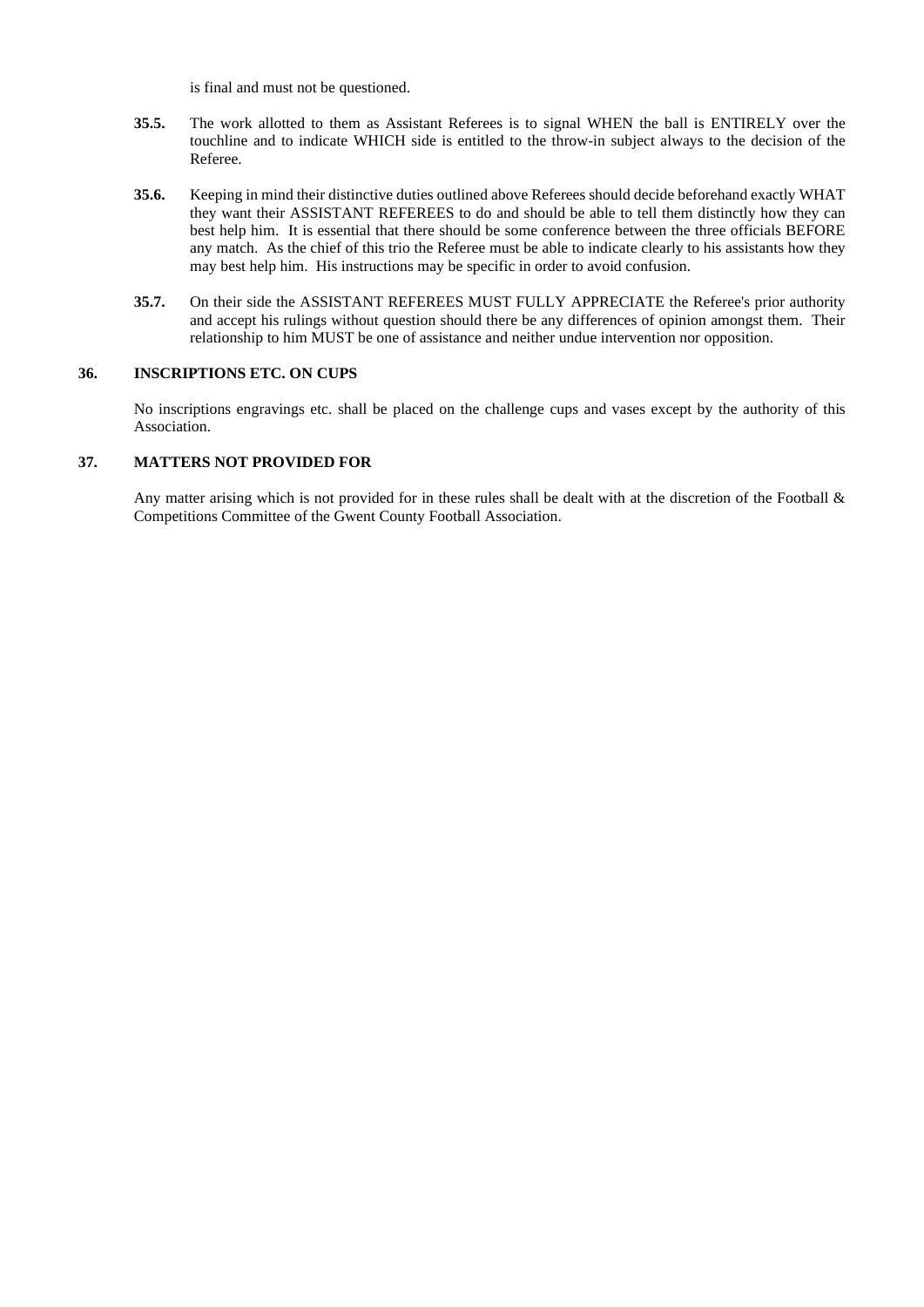is final and must not be questioned.

- **35.5.** The work allotted to them as Assistant Referees is to signal WHEN the ball is ENTIRELY over the touchline and to indicate WHICH side is entitled to the throw-in subject always to the decision of the Referee.
- **35.6.** Keeping in mind their distinctive duties outlined above Referees should decide beforehand exactly WHAT they want their ASSISTANT REFEREES to do and should be able to tell them distinctly how they can best help him. It is essential that there should be some conference between the three officials BEFORE any match. As the chief of this trio the Referee must be able to indicate clearly to his assistants how they may best help him. His instructions may be specific in order to avoid confusion.
- **35.7.** On their side the ASSISTANT REFEREES MUST FULLY APPRECIATE the Referee's prior authority and accept his rulings without question should there be any differences of opinion amongst them. Their relationship to him MUST be one of assistance and neither undue intervention nor opposition.

### **36. INSCRIPTIONS ETC. ON CUPS**

No inscriptions engravings etc. shall be placed on the challenge cups and vases except by the authority of this Association.

### **37. MATTERS NOT PROVIDED FOR**

Any matter arising which is not provided for in these rules shall be dealt with at the discretion of the Football  $\&$ Competitions Committee of the Gwent County Football Association.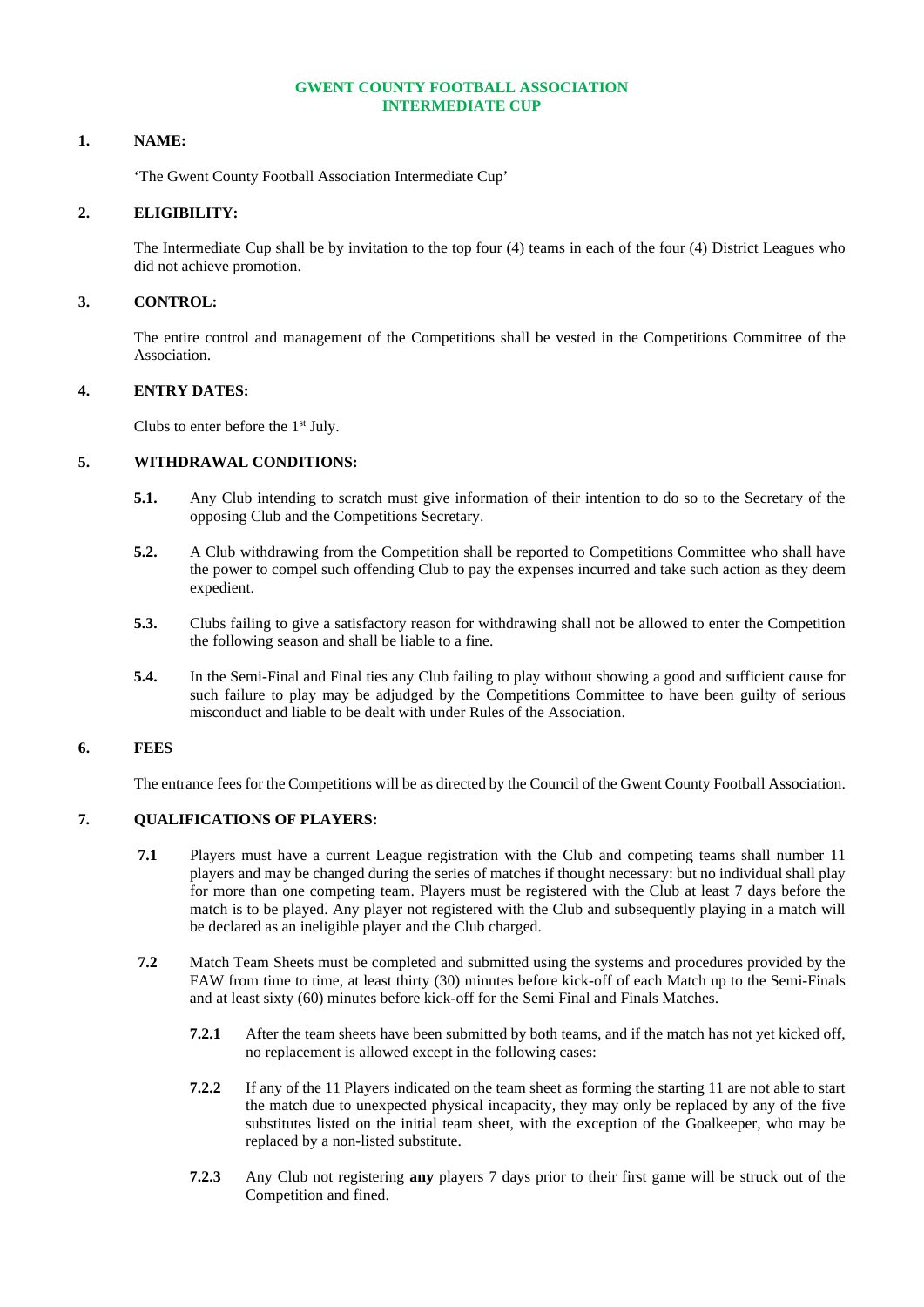# **GWENT COUNTY FOOTBALL ASSOCIATION INTERMEDIATE CUP**

### **1. NAME:**

'The Gwent County Football Association Intermediate Cup'

### **2. ELIGIBILITY:**

The Intermediate Cup shall be by invitation to the top four (4) teams in each of the four (4) District Leagues who did not achieve promotion.

## **3. CONTROL:**

The entire control and management of the Competitions shall be vested in the Competitions Committee of the Association.

### **4. ENTRY DATES:**

Clubs to enter before the 1st July.

#### **5. WITHDRAWAL CONDITIONS:**

- **5.1.** Any Club intending to scratch must give information of their intention to do so to the Secretary of the opposing Club and the Competitions Secretary.
- **5.2.** A Club withdrawing from the Competition shall be reported to Competitions Committee who shall have the power to compel such offending Club to pay the expenses incurred and take such action as they deem expedient.
- **5.3.** Clubs failing to give a satisfactory reason for withdrawing shall not be allowed to enter the Competition the following season and shall be liable to a fine.
- **5.4.** In the Semi-Final and Final ties any Club failing to play without showing a good and sufficient cause for such failure to play may be adjudged by the Competitions Committee to have been guilty of serious misconduct and liable to be dealt with under Rules of the Association.

# **6. FEES**

The entrance fees for the Competitions will be as directed by the Council of the Gwent County Football Association.

# **7. QUALIFICATIONS OF PLAYERS:**

- **7.1** Players must have a current League registration with the Club and competing teams shall number 11 players and may be changed during the series of matches if thought necessary: but no individual shall play for more than one competing team. Players must be registered with the Club at least 7 days before the match is to be played. Any player not registered with the Club and subsequently playing in a match will be declared as an ineligible player and the Club charged.
- **7.2** Match Team Sheets must be completed and submitted using the systems and procedures provided by the FAW from time to time, at least thirty (30) minutes before kick-off of each Match up to the Semi-Finals and at least sixty (60) minutes before kick-off for the Semi Final and Finals Matches.
	- **7.2.1** After the team sheets have been submitted by both teams, and if the match has not yet kicked off, no replacement is allowed except in the following cases:
	- **7.2.2** If any of the 11 Players indicated on the team sheet as forming the starting 11 are not able to start the match due to unexpected physical incapacity, they may only be replaced by any of the five substitutes listed on the initial team sheet, with the exception of the Goalkeeper, who may be replaced by a non-listed substitute.
	- **7.2.3** Any Club not registering **any** players 7 days prior to their first game will be struck out of the Competition and fined.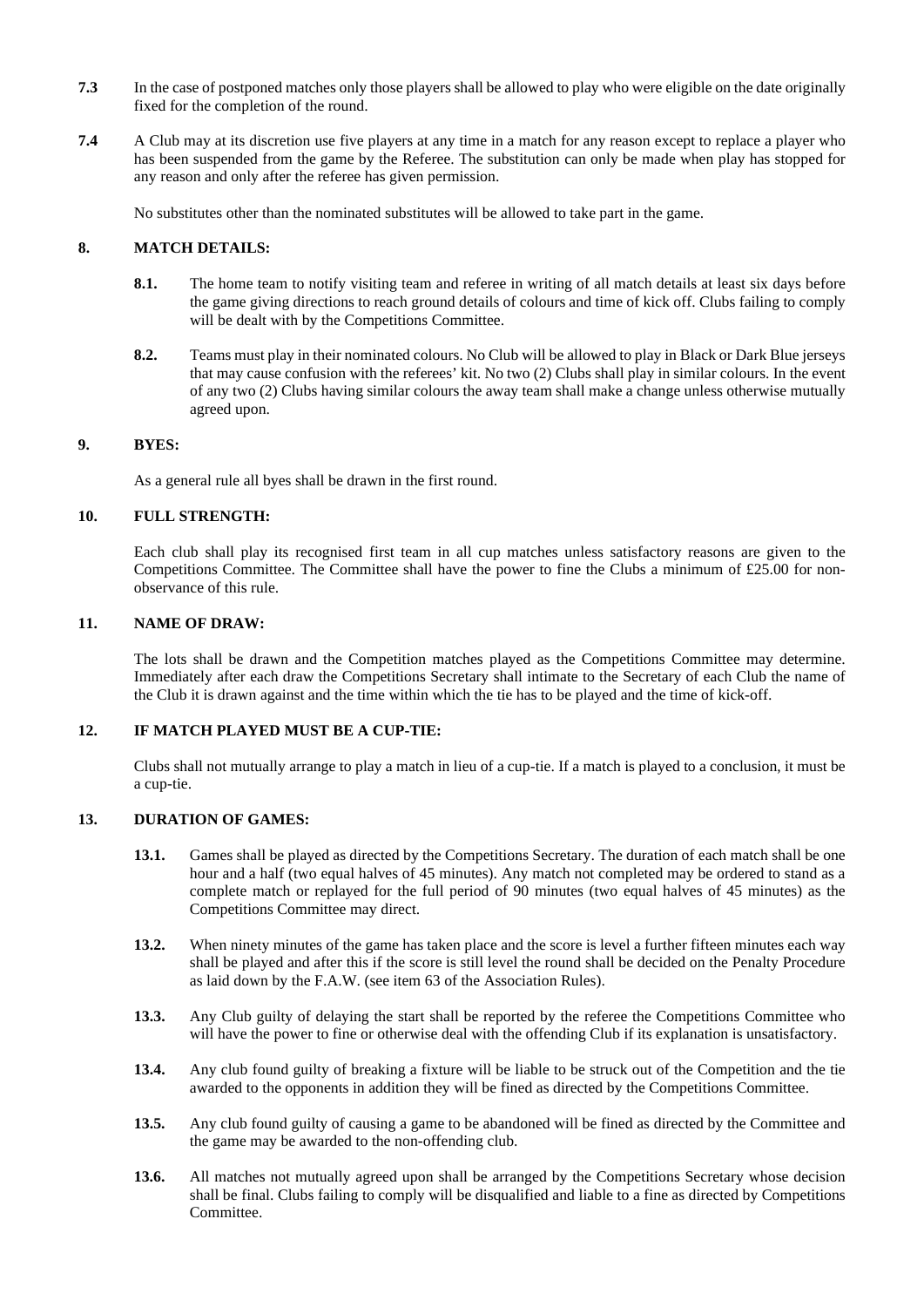- **7.3** In the case of postponed matches only those players shall be allowed to play who were eligible on the date originally fixed for the completion of the round.
- **7.4** A Club may at its discretion use five players at any time in a match for any reason except to replace a player who has been suspended from the game by the Referee. The substitution can only be made when play has stopped for any reason and only after the referee has given permission.

No substitutes other than the nominated substitutes will be allowed to take part in the game.

# **8. MATCH DETAILS:**

- **8.1.** The home team to notify visiting team and referee in writing of all match details at least six days before the game giving directions to reach ground details of colours and time of kick off. Clubs failing to comply will be dealt with by the Competitions Committee.
- **8.2.** Teams must play in their nominated colours. No Club will be allowed to play in Black or Dark Blue jerseys that may cause confusion with the referees' kit. No two (2) Clubs shall play in similar colours. In the event of any two (2) Clubs having similar colours the away team shall make a change unless otherwise mutually agreed upon.

# **9. BYES:**

As a general rule all byes shall be drawn in the first round.

# **10. FULL STRENGTH:**

Each club shall play its recognised first team in all cup matches unless satisfactory reasons are given to the Competitions Committee. The Committee shall have the power to fine the Clubs a minimum of £25.00 for nonobservance of this rule.

### **11. NAME OF DRAW:**

The lots shall be drawn and the Competition matches played as the Competitions Committee may determine. Immediately after each draw the Competitions Secretary shall intimate to the Secretary of each Club the name of the Club it is drawn against and the time within which the tie has to be played and the time of kick-off.

# **12. IF MATCH PLAYED MUST BE A CUP-TIE:**

Clubs shall not mutually arrange to play a match in lieu of a cup-tie. If a match is played to a conclusion, it must be a cup-tie.

# **13. DURATION OF GAMES:**

- **13.1.** Games shall be played as directed by the Competitions Secretary. The duration of each match shall be one hour and a half (two equal halves of 45 minutes). Any match not completed may be ordered to stand as a complete match or replayed for the full period of 90 minutes (two equal halves of 45 minutes) as the Competitions Committee may direct.
- **13.2.** When ninety minutes of the game has taken place and the score is level a further fifteen minutes each way shall be played and after this if the score is still level the round shall be decided on the Penalty Procedure as laid down by the F.A.W. (see item 63 of the Association Rules).
- **13.3.** Any Club guilty of delaying the start shall be reported by the referee the Competitions Committee who will have the power to fine or otherwise deal with the offending Club if its explanation is unsatisfactory.
- **13.4.** Any club found guilty of breaking a fixture will be liable to be struck out of the Competition and the tie awarded to the opponents in addition they will be fined as directed by the Competitions Committee.
- **13.5.** Any club found guilty of causing a game to be abandoned will be fined as directed by the Committee and the game may be awarded to the non-offending club.
- 13.6. All matches not mutually agreed upon shall be arranged by the Competitions Secretary whose decision shall be final. Clubs failing to comply will be disqualified and liable to a fine as directed by Competitions Committee.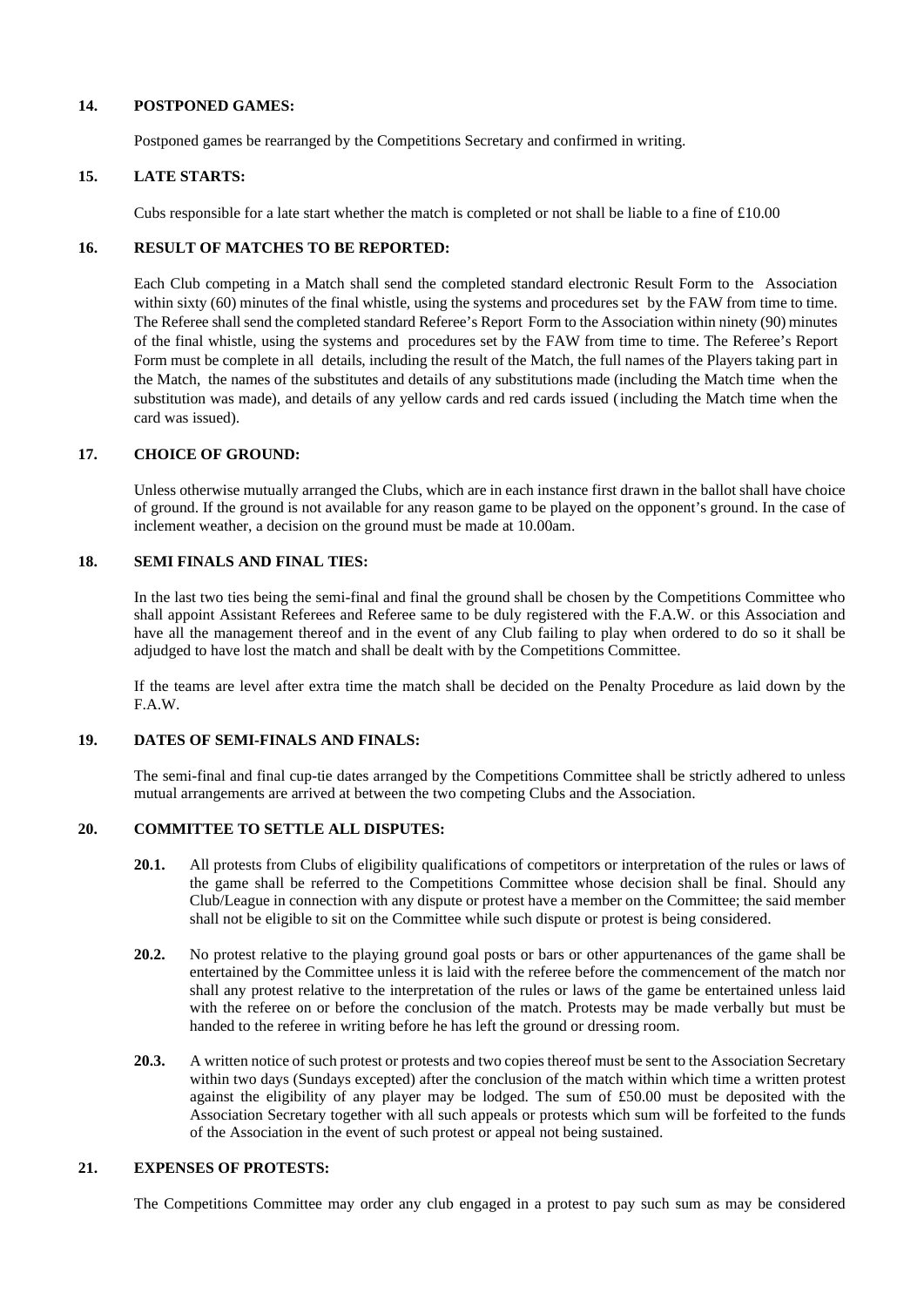### **14. POSTPONED GAMES:**

Postponed games be rearranged by the Competitions Secretary and confirmed in writing.

### **15. LATE STARTS:**

Cubs responsible for a late start whether the match is completed or not shall be liable to a fine of  $\text{\pounds}10.00$ 

# **16. RESULT OF MATCHES TO BE REPORTED:**

Each Club competing in a Match shall send the completed standard electronic Result Form to the Association within sixty (60) minutes of the final whistle, using the systems and procedures set by the FAW from time to time. The Referee shallsend the completed standard Referee's Report Form to the Association within ninety (90) minutes of the final whistle, using the systems and procedures set by the FAW from time to time. The Referee's Report Form must be complete in all details, including the result of the Match, the full names of the Players taking part in the Match, the names of the substitutes and details of any substitutions made (including the Match time when the substitution was made), and details of any yellow cards and red cards issued (including the Match time when the card was issued).

# **17. CHOICE OF GROUND:**

Unless otherwise mutually arranged the Clubs, which are in each instance first drawn in the ballot shall have choice of ground. If the ground is not available for any reason game to be played on the opponent's ground. In the case of inclement weather, a decision on the ground must be made at 10.00am.

### **18. SEMI FINALS AND FINAL TIES:**

In the last two ties being the semi-final and final the ground shall be chosen by the Competitions Committee who shall appoint Assistant Referees and Referee same to be duly registered with the F.A.W. or this Association and have all the management thereof and in the event of any Club failing to play when ordered to do so it shall be adjudged to have lost the match and shall be dealt with by the Competitions Committee.

If the teams are level after extra time the match shall be decided on the Penalty Procedure as laid down by the F.A.W.

# **19. DATES OF SEMI-FINALS AND FINALS:**

The semi-final and final cup-tie dates arranged by the Competitions Committee shall be strictly adhered to unless mutual arrangements are arrived at between the two competing Clubs and the Association.

### **20. COMMITTEE TO SETTLE ALL DISPUTES:**

- **20.1.** All protests from Clubs of eligibility qualifications of competitors or interpretation of the rules or laws of the game shall be referred to the Competitions Committee whose decision shall be final. Should any Club/League in connection with any dispute or protest have a member on the Committee; the said member shall not be eligible to sit on the Committee while such dispute or protest is being considered.
- **20.2.** No protest relative to the playing ground goal posts or bars or other appurtenances of the game shall be entertained by the Committee unless it is laid with the referee before the commencement of the match nor shall any protest relative to the interpretation of the rules or laws of the game be entertained unless laid with the referee on or before the conclusion of the match. Protests may be made verbally but must be handed to the referee in writing before he has left the ground or dressing room.
- **20.3.** A written notice of such protest or protests and two copies thereof must be sent to the Association Secretary within two days (Sundays excepted) after the conclusion of the match within which time a written protest against the eligibility of any player may be lodged. The sum of £50.00 must be deposited with the Association Secretary together with all such appeals or protests which sum will be forfeited to the funds of the Association in the event of such protest or appeal not being sustained.

# **21. EXPENSES OF PROTESTS:**

The Competitions Committee may order any club engaged in a protest to pay such sum as may be considered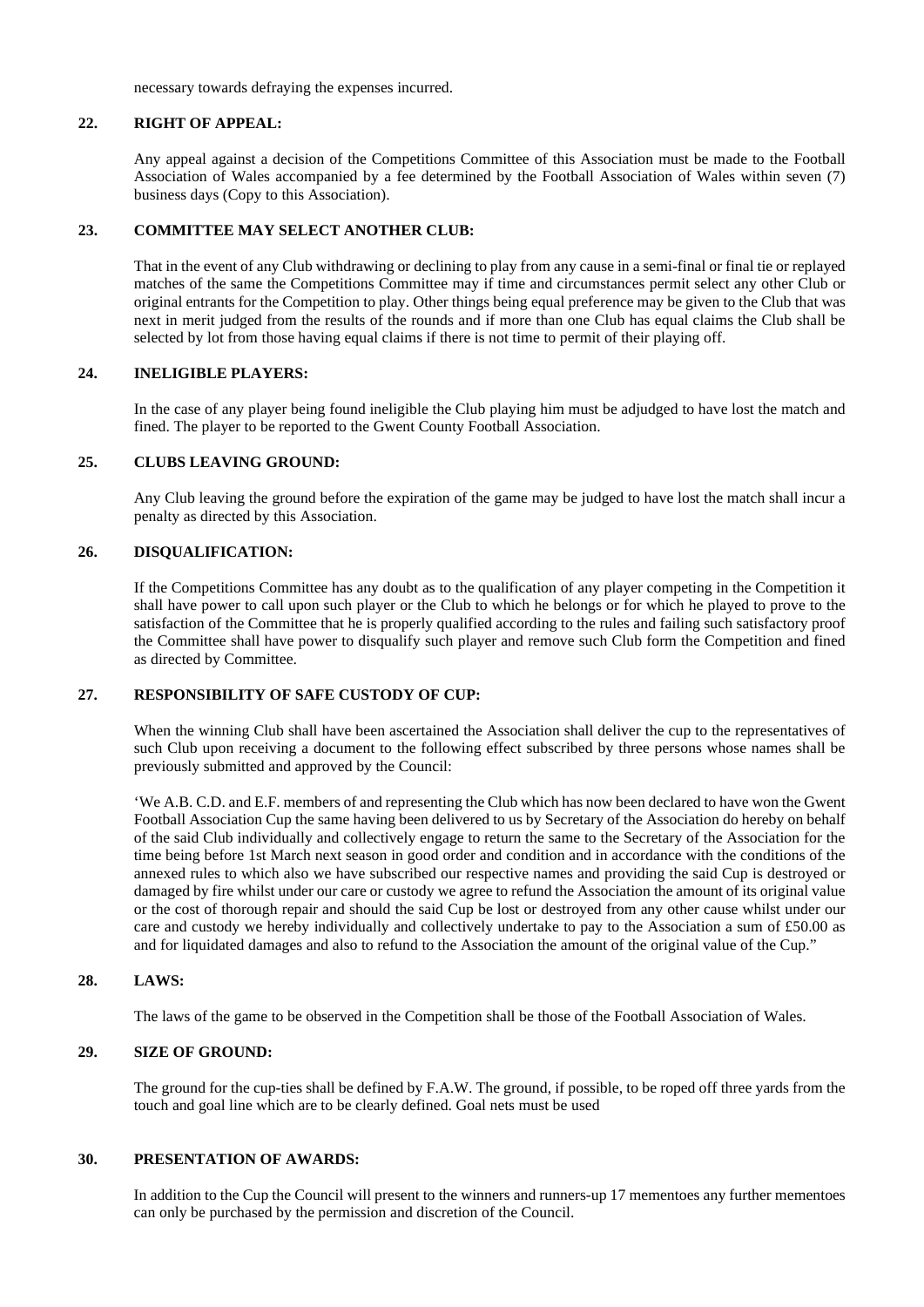necessary towards defraying the expenses incurred.

### **22. RIGHT OF APPEAL:**

Any appeal against a decision of the Competitions Committee of this Association must be made to the Football Association of Wales accompanied by a fee determined by the Football Association of Wales within seven (7) business days (Copy to this Association).

### **23. COMMITTEE MAY SELECT ANOTHER CLUB:**

That in the event of any Club withdrawing or declining to play from any cause in a semi-final or final tie or replayed matches of the same the Competitions Committee may if time and circumstances permit select any other Club or original entrants for the Competition to play. Other things being equal preference may be given to the Club that was next in merit judged from the results of the rounds and if more than one Club has equal claims the Club shall be selected by lot from those having equal claims if there is not time to permit of their playing off.

## **24. INELIGIBLE PLAYERS:**

In the case of any player being found ineligible the Club playing him must be adjudged to have lost the match and fined. The player to be reported to the Gwent County Football Association.

### **25. CLUBS LEAVING GROUND:**

Any Club leaving the ground before the expiration of the game may be judged to have lost the match shall incur a penalty as directed by this Association.

### **26. DISQUALIFICATION:**

If the Competitions Committee has any doubt as to the qualification of any player competing in the Competition it shall have power to call upon such player or the Club to which he belongs or for which he played to prove to the satisfaction of the Committee that he is properly qualified according to the rules and failing such satisfactory proof the Committee shall have power to disqualify such player and remove such Club form the Competition and fined as directed by Committee.

# **27. RESPONSIBILITY OF SAFE CUSTODY OF CUP:**

When the winning Club shall have been ascertained the Association shall deliver the cup to the representatives of such Club upon receiving a document to the following effect subscribed by three persons whose names shall be previously submitted and approved by the Council:

'We A.B. C.D. and E.F. members of and representing the Club which has now been declared to have won the Gwent Football Association Cup the same having been delivered to us by Secretary of the Association do hereby on behalf of the said Club individually and collectively engage to return the same to the Secretary of the Association for the time being before 1st March next season in good order and condition and in accordance with the conditions of the annexed rules to which also we have subscribed our respective names and providing the said Cup is destroyed or damaged by fire whilst under our care or custody we agree to refund the Association the amount of its original value or the cost of thorough repair and should the said Cup be lost or destroyed from any other cause whilst under our care and custody we hereby individually and collectively undertake to pay to the Association a sum of £50.00 as and for liquidated damages and also to refund to the Association the amount of the original value of the Cup."

# **28. LAWS:**

The laws of the game to be observed in the Competition shall be those of the Football Association of Wales.

# **29. SIZE OF GROUND:**

The ground for the cup-ties shall be defined by F.A.W. The ground, if possible, to be roped off three yards from the touch and goal line which are to be clearly defined. Goal nets must be used

#### **30. PRESENTATION OF AWARDS:**

In addition to the Cup the Council will present to the winners and runners-up 17 mementoes any further mementoes can only be purchased by the permission and discretion of the Council.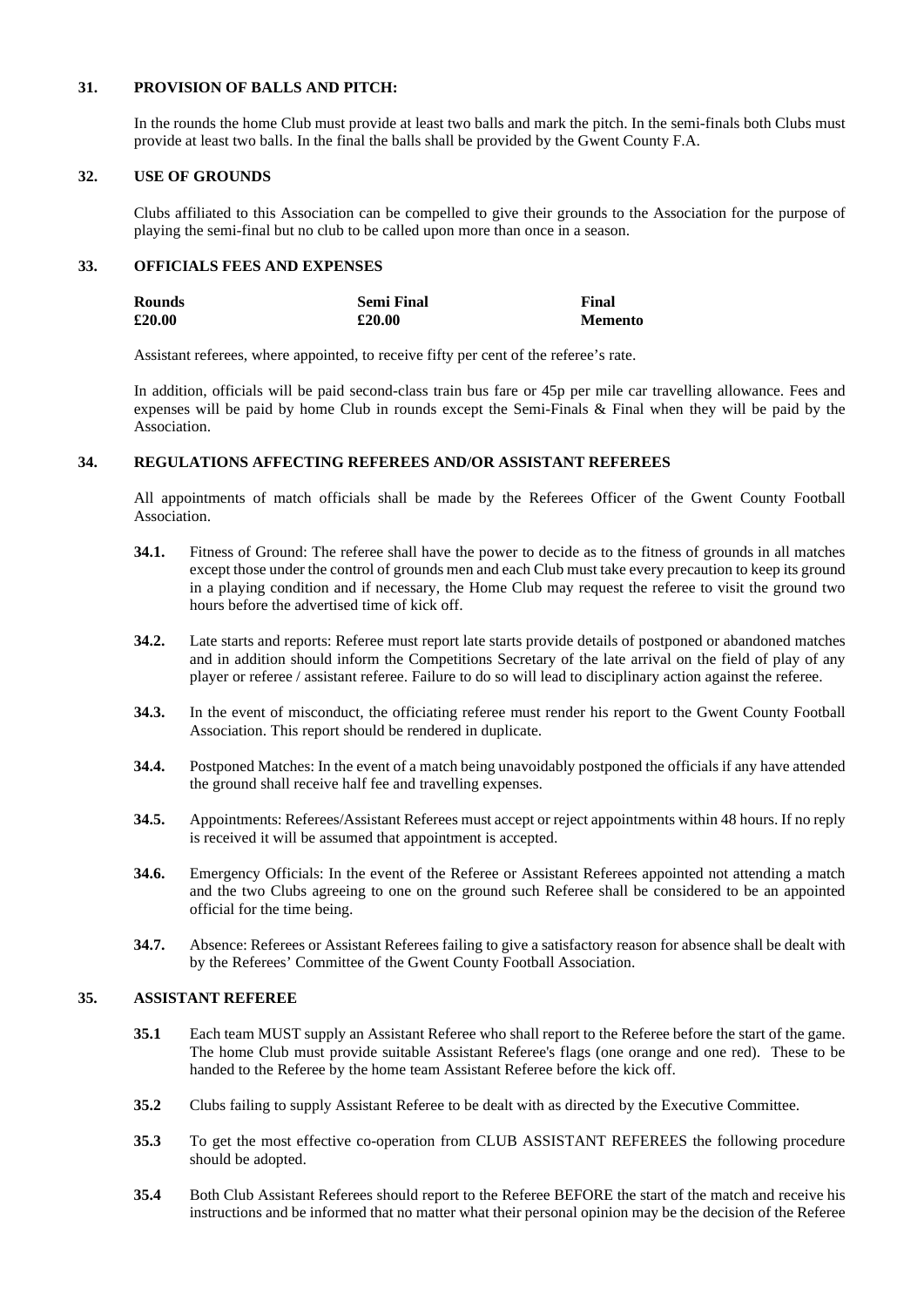# **31. PROVISION OF BALLS AND PITCH:**

In the rounds the home Club must provide at least two balls and mark the pitch. In the semi-finals both Clubs must provide at least two balls. In the final the balls shall be provided by the Gwent County F.A.

# **32. USE OF GROUNDS**

Clubs affiliated to this Association can be compelled to give their grounds to the Association for the purpose of playing the semi-final but no club to be called upon more than once in a season.

# **33. OFFICIALS FEES AND EXPENSES**

| Rounds | <b>Semi Final</b> | Final          |
|--------|-------------------|----------------|
| £20.00 | £20.00            | <b>Memento</b> |

Assistant referees, where appointed, to receive fifty per cent of the referee's rate.

In addition, officials will be paid second-class train bus fare or 45p per mile car travelling allowance. Fees and expenses will be paid by home Club in rounds except the Semi-Finals & Final when they will be paid by the Association.

# **34. REGULATIONS AFFECTING REFEREES AND/OR ASSISTANT REFEREES**

All appointments of match officials shall be made by the Referees Officer of the Gwent County Football Association.

- **34.1.** Fitness of Ground: The referee shall have the power to decide as to the fitness of grounds in all matches except those under the control of grounds men and each Club must take every precaution to keep its ground in a playing condition and if necessary, the Home Club may request the referee to visit the ground two hours before the advertised time of kick off.
- **34.2.** Late starts and reports: Referee must report late starts provide details of postponed or abandoned matches and in addition should inform the Competitions Secretary of the late arrival on the field of play of any player or referee / assistant referee. Failure to do so will lead to disciplinary action against the referee.
- **34.3.** In the event of misconduct, the officiating referee must render his report to the Gwent County Football Association. This report should be rendered in duplicate.
- **34.4.** Postponed Matches: In the event of a match being unavoidably postponed the officials if any have attended the ground shall receive half fee and travelling expenses.
- **34.5.** Appointments: Referees/Assistant Referees must accept or reject appointments within 48 hours. If no reply is received it will be assumed that appointment is accepted.
- **34.6.** Emergency Officials: In the event of the Referee or Assistant Referees appointed not attending a match and the two Clubs agreeing to one on the ground such Referee shall be considered to be an appointed official for the time being.
- **34.7.** Absence: Referees or Assistant Referees failing to give a satisfactory reason for absence shall be dealt with by the Referees' Committee of the Gwent County Football Association.

# **35. ASSISTANT REFEREE**

- **35.1** Each team MUST supply an Assistant Referee who shall report to the Referee before the start of the game. The home Club must provide suitable Assistant Referee's flags (one orange and one red). These to be handed to the Referee by the home team Assistant Referee before the kick off.
- **35.2** Clubs failing to supply Assistant Referee to be dealt with as directed by the Executive Committee.
- **35.3** To get the most effective co-operation from CLUB ASSISTANT REFEREES the following procedure should be adopted.
- **35.4** Both Club Assistant Referees should report to the Referee BEFORE the start of the match and receive his instructions and be informed that no matter what their personal opinion may be the decision of the Referee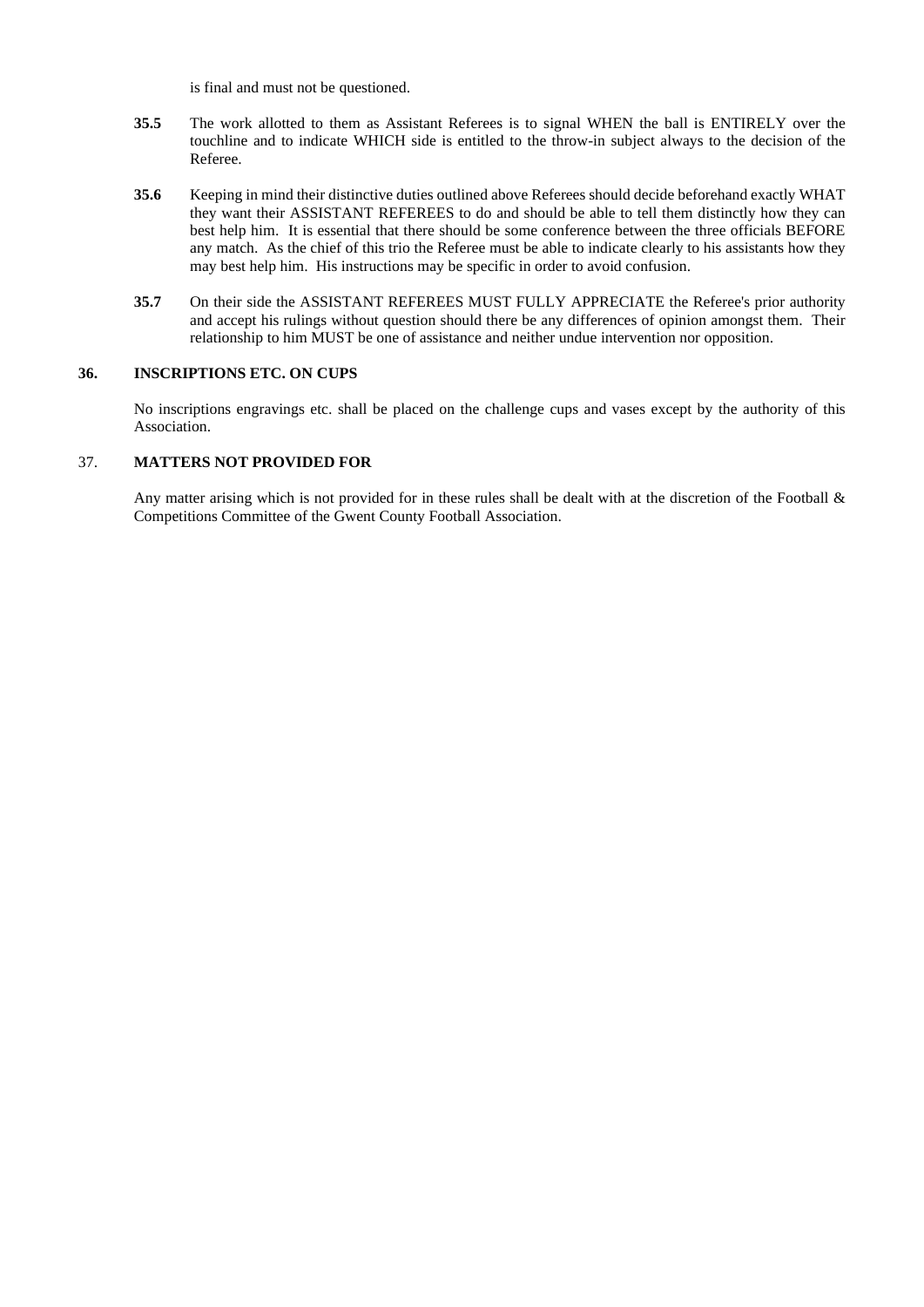is final and must not be questioned.

- **35.5** The work allotted to them as Assistant Referees is to signal WHEN the ball is ENTIRELY over the touchline and to indicate WHICH side is entitled to the throw-in subject always to the decision of the Referee.
- **35.6** Keeping in mind their distinctive duties outlined above Referees should decide beforehand exactly WHAT they want their ASSISTANT REFEREES to do and should be able to tell them distinctly how they can best help him. It is essential that there should be some conference between the three officials BEFORE any match. As the chief of this trio the Referee must be able to indicate clearly to his assistants how they may best help him. His instructions may be specific in order to avoid confusion.
- **35.7** On their side the ASSISTANT REFEREES MUST FULLY APPRECIATE the Referee's prior authority and accept his rulings without question should there be any differences of opinion amongst them. Their relationship to him MUST be one of assistance and neither undue intervention nor opposition.

# **36. INSCRIPTIONS ETC. ON CUPS**

No inscriptions engravings etc. shall be placed on the challenge cups and vases except by the authority of this Association.

### 37. **MATTERS NOT PROVIDED FOR**

Any matter arising which is not provided for in these rules shall be dealt with at the discretion of the Football & Competitions Committee of the Gwent County Football Association.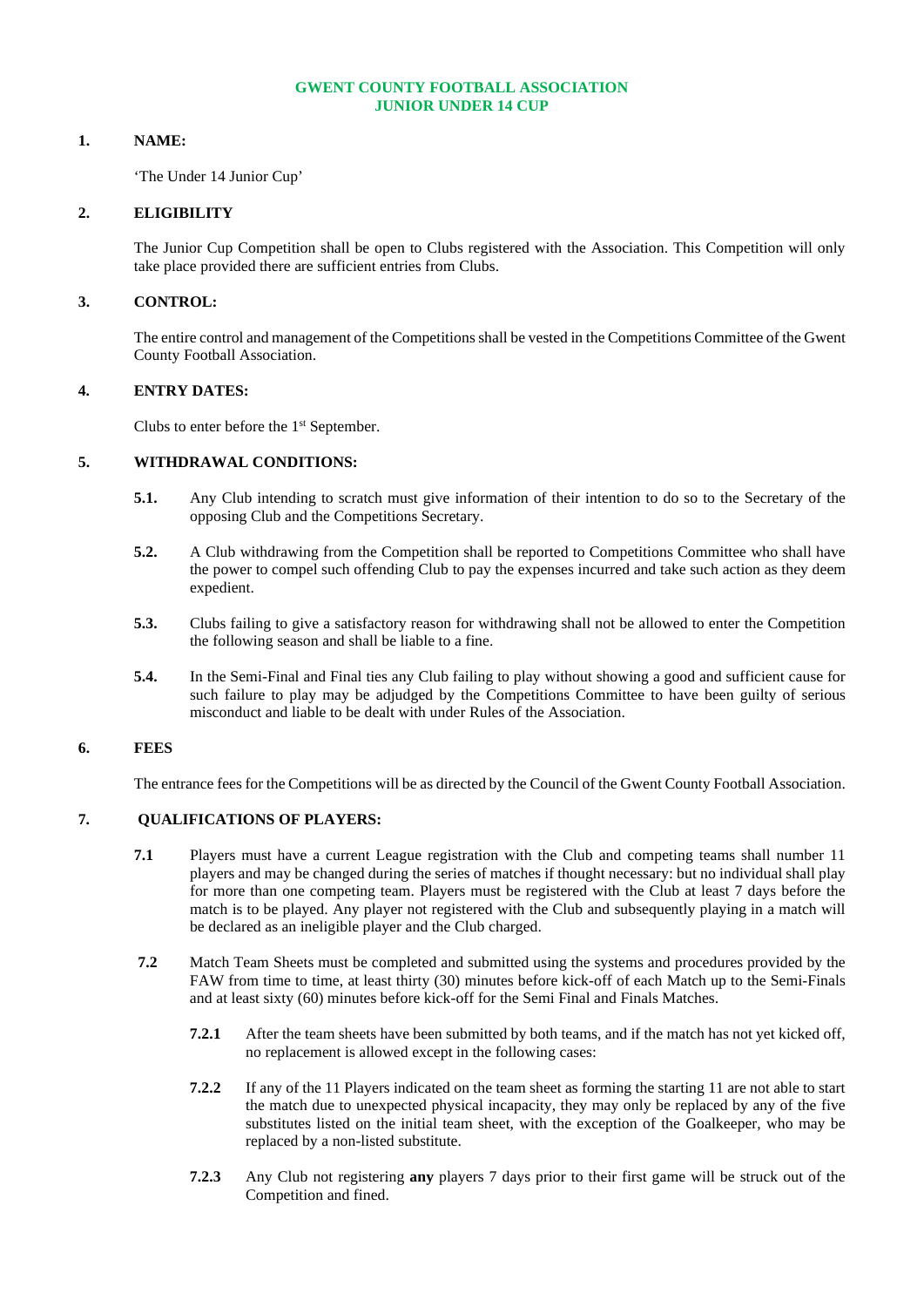## **GWENT COUNTY FOOTBALL ASSOCIATION JUNIOR UNDER 14 CUP**

# **1. NAME:**

'The Under 14 Junior Cup'

### **2. ELIGIBILITY**

The Junior Cup Competition shall be open to Clubs registered with the Association. This Competition will only take place provided there are sufficient entries from Clubs.

# **3. CONTROL:**

The entire control and management of the Competitions shall be vested in the Competitions Committee of the Gwent County Football Association.

### **4. ENTRY DATES:**

Clubs to enter before the 1<sup>st</sup> September.

# **5. WITHDRAWAL CONDITIONS:**

- **5.1.** Any Club intending to scratch must give information of their intention to do so to the Secretary of the opposing Club and the Competitions Secretary.
- **5.2.** A Club withdrawing from the Competition shall be reported to Competitions Committee who shall have the power to compel such offending Club to pay the expenses incurred and take such action as they deem expedient.
- **5.3.** Clubs failing to give a satisfactory reason for withdrawing shall not be allowed to enter the Competition the following season and shall be liable to a fine.
- **5.4.** In the Semi-Final and Final ties any Club failing to play without showing a good and sufficient cause for such failure to play may be adjudged by the Competitions Committee to have been guilty of serious misconduct and liable to be dealt with under Rules of the Association.

# **6. FEES**

The entrance fees for the Competitions will be as directed by the Council of the Gwent County Football Association.

# **7. QUALIFICATIONS OF PLAYERS:**

- **7.1** Players must have a current League registration with the Club and competing teams shall number 11 players and may be changed during the series of matches if thought necessary: but no individual shall play for more than one competing team. Players must be registered with the Club at least 7 days before the match is to be played. Any player not registered with the Club and subsequently playing in a match will be declared as an ineligible player and the Club charged.
- **7.2** Match Team Sheets must be completed and submitted using the systems and procedures provided by the FAW from time to time, at least thirty (30) minutes before kick-off of each Match up to the Semi-Finals and at least sixty (60) minutes before kick-off for the Semi Final and Finals Matches.
	- **7.2.1** After the team sheets have been submitted by both teams, and if the match has not yet kicked off, no replacement is allowed except in the following cases:
	- **7.2.2** If any of the 11 Players indicated on the team sheet as forming the starting 11 are not able to start the match due to unexpected physical incapacity, they may only be replaced by any of the five substitutes listed on the initial team sheet, with the exception of the Goalkeeper, who may be replaced by a non-listed substitute.
	- **7.2.3** Any Club not registering **any** players 7 days prior to their first game will be struck out of the Competition and fined.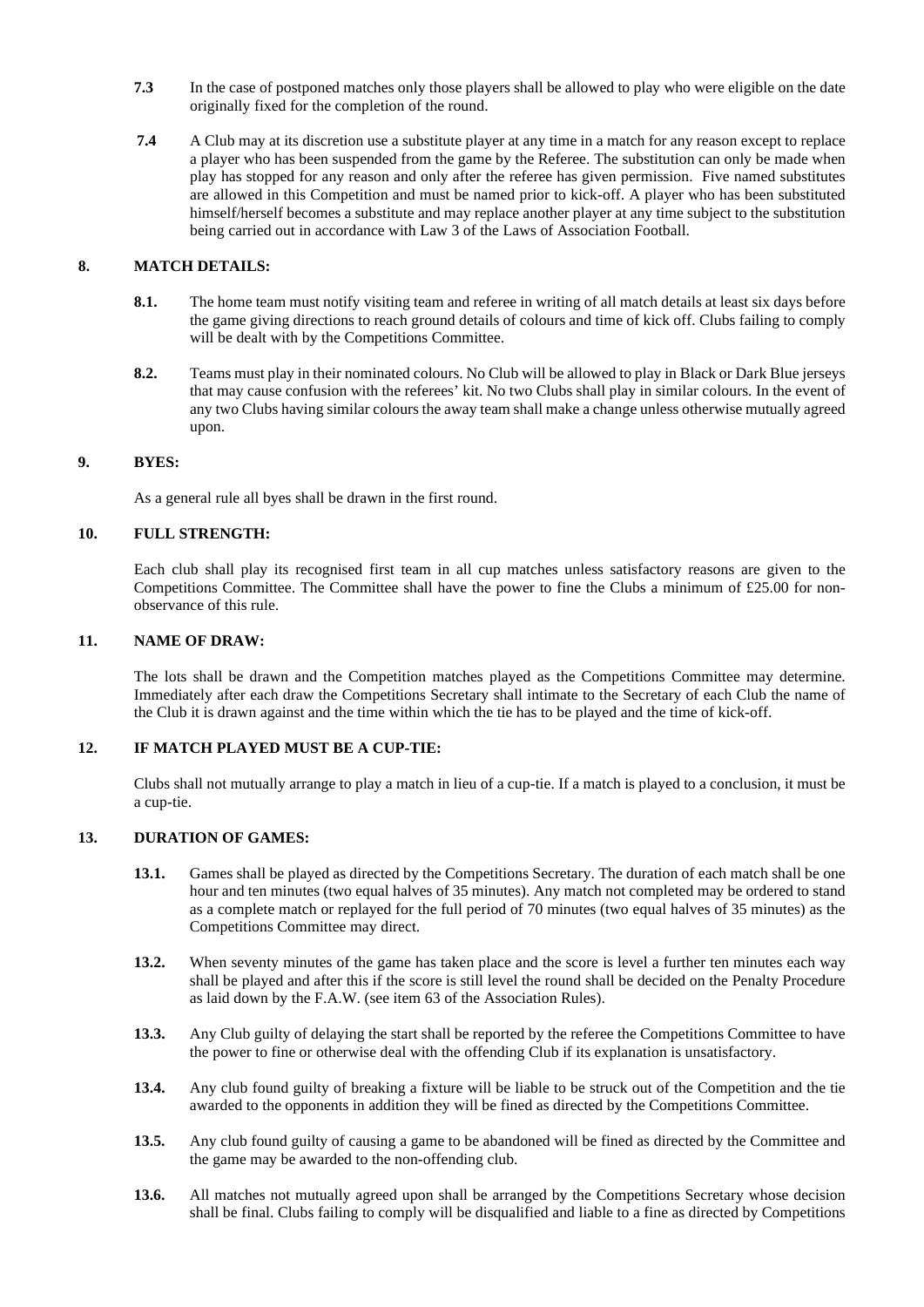- **7.3** In the case of postponed matches only those players shall be allowed to play who were eligible on the date originally fixed for the completion of the round.
- **7.4** A Club may at its discretion use a substitute player at any time in a match for any reason except to replace a player who has been suspended from the game by the Referee. The substitution can only be made when play has stopped for any reason and only after the referee has given permission. Five named substitutes are allowed in this Competition and must be named prior to kick-off. A player who has been substituted himself/herself becomes a substitute and may replace another player at any time subject to the substitution being carried out in accordance with Law 3 of the Laws of Association Football.

# **8. MATCH DETAILS:**

- **8.1.** The home team must notify visiting team and referee in writing of all match details at least six days before the game giving directions to reach ground details of colours and time of kick off. Clubs failing to comply will be dealt with by the Competitions Committee.
- **8.2.** Teams must play in their nominated colours. No Club will be allowed to play in Black or Dark Blue jerseys that may cause confusion with the referees' kit. No two Clubs shall play in similar colours. In the event of any two Clubs having similar colours the away team shall make a change unless otherwise mutually agreed upon.

### **9. BYES:**

As a general rule all byes shall be drawn in the first round.

### **10. FULL STRENGTH:**

Each club shall play its recognised first team in all cup matches unless satisfactory reasons are given to the Competitions Committee. The Committee shall have the power to fine the Clubs a minimum of £25.00 for nonobservance of this rule.

# **11. NAME OF DRAW:**

The lots shall be drawn and the Competition matches played as the Competitions Committee may determine. Immediately after each draw the Competitions Secretary shall intimate to the Secretary of each Club the name of the Club it is drawn against and the time within which the tie has to be played and the time of kick-off.

# **12. IF MATCH PLAYED MUST BE A CUP-TIE:**

Clubs shall not mutually arrange to play a match in lieu of a cup-tie. If a match is played to a conclusion, it must be a cup-tie.

#### **13. DURATION OF GAMES:**

- **13.1.** Games shall be played as directed by the Competitions Secretary. The duration of each match shall be one hour and ten minutes (two equal halves of 35 minutes). Any match not completed may be ordered to stand as a complete match or replayed for the full period of 70 minutes (two equal halves of 35 minutes) as the Competitions Committee may direct.
- **13.2.** When seventy minutes of the game has taken place and the score is level a further ten minutes each way shall be played and after this if the score is still level the round shall be decided on the Penalty Procedure as laid down by the F.A.W. (see item 63 of the Association Rules).
- **13.3.** Any Club guilty of delaying the start shall be reported by the referee the Competitions Committee to have the power to fine or otherwise deal with the offending Club if its explanation is unsatisfactory.
- **13.4.** Any club found guilty of breaking a fixture will be liable to be struck out of the Competition and the tie awarded to the opponents in addition they will be fined as directed by the Competitions Committee.
- **13.5.** Any club found guilty of causing a game to be abandoned will be fined as directed by the Committee and the game may be awarded to the non-offending club.
- 13.6. All matches not mutually agreed upon shall be arranged by the Competitions Secretary whose decision shall be final. Clubs failing to comply will be disqualified and liable to a fine as directed by Competitions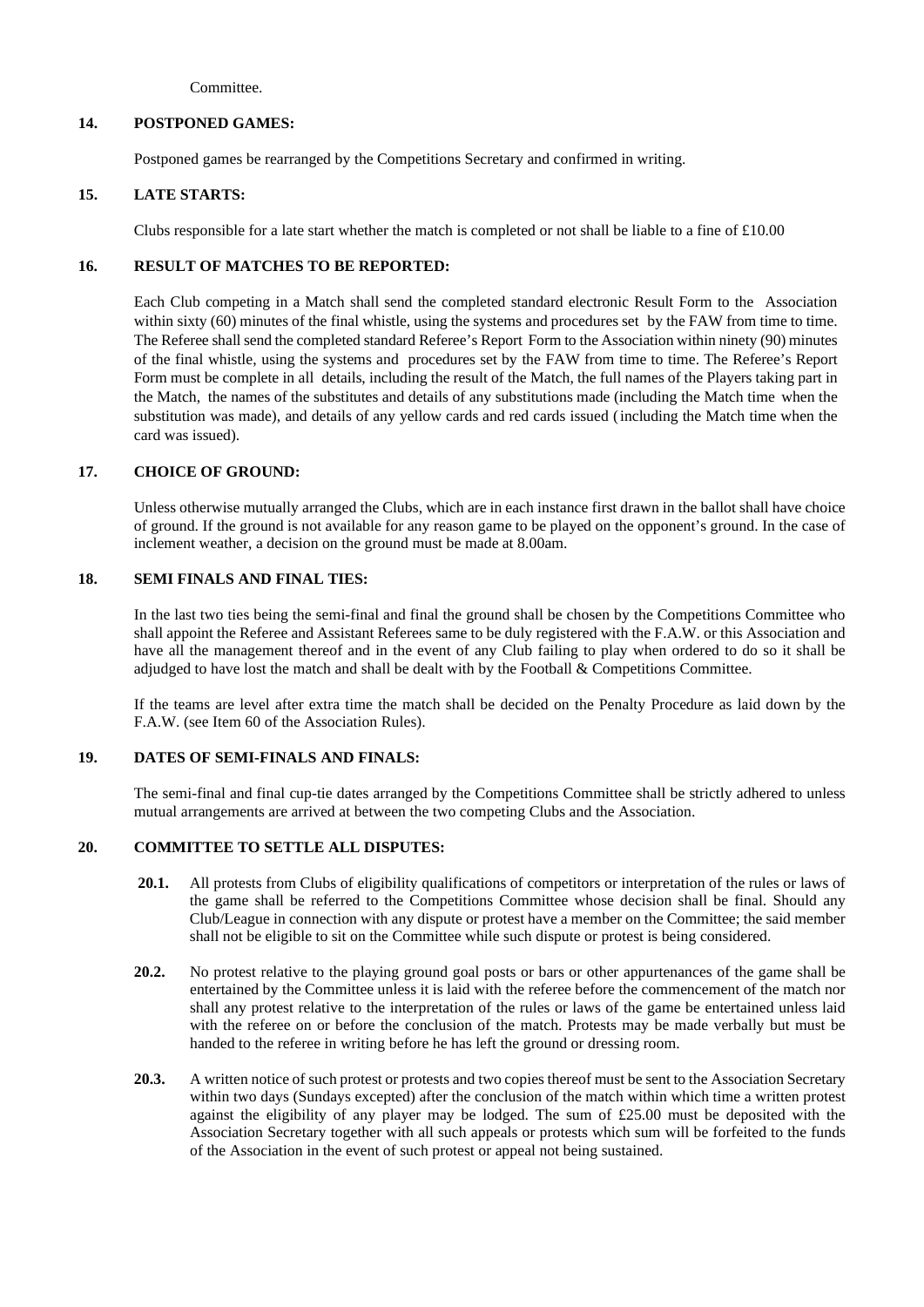Committee.

# **14. POSTPONED GAMES:**

Postponed games be rearranged by the Competitions Secretary and confirmed in writing.

# **15. LATE STARTS:**

Clubs responsible for a late start whether the match is completed or not shall be liable to a fine of  $\text{\pounds}10.00$ 

# **16. RESULT OF MATCHES TO BE REPORTED:**

Each Club competing in a Match shall send the completed standard electronic Result Form to the Association within sixty (60) minutes of the final whistle, using the systems and procedures set by the FAW from time to time. The Referee shallsend the completed standard Referee's Report Form to the Association within ninety (90) minutes of the final whistle, using the systems and procedures set by the FAW from time to time. The Referee's Report Form must be complete in all details, including the result of the Match, the full names of the Players taking part in the Match, the names of the substitutes and details of any substitutions made (including the Match time when the substitution was made), and details of any yellow cards and red cards issued (including the Match time when the card was issued).

# **17. CHOICE OF GROUND:**

Unless otherwise mutually arranged the Clubs, which are in each instance first drawn in the ballot shall have choice of ground. If the ground is not available for any reason game to be played on the opponent's ground. In the case of inclement weather, a decision on the ground must be made at 8.00am.

# **18. SEMI FINALS AND FINAL TIES:**

In the last two ties being the semi-final and final the ground shall be chosen by the Competitions Committee who shall appoint the Referee and Assistant Referees same to be duly registered with the F.A.W. or this Association and have all the management thereof and in the event of any Club failing to play when ordered to do so it shall be adjudged to have lost the match and shall be dealt with by the Football & Competitions Committee.

If the teams are level after extra time the match shall be decided on the Penalty Procedure as laid down by the F.A.W. (see Item 60 of the Association Rules).

# **19. DATES OF SEMI-FINALS AND FINALS:**

The semi-final and final cup-tie dates arranged by the Competitions Committee shall be strictly adhered to unless mutual arrangements are arrived at between the two competing Clubs and the Association.

# **20. COMMITTEE TO SETTLE ALL DISPUTES:**

- 20.1. All protests from Clubs of eligibility qualifications of competitors or interpretation of the rules or laws of the game shall be referred to the Competitions Committee whose decision shall be final. Should any Club/League in connection with any dispute or protest have a member on the Committee; the said member shall not be eligible to sit on the Committee while such dispute or protest is being considered.
- **20.2.** No protest relative to the playing ground goal posts or bars or other appurtenances of the game shall be entertained by the Committee unless it is laid with the referee before the commencement of the match nor shall any protest relative to the interpretation of the rules or laws of the game be entertained unless laid with the referee on or before the conclusion of the match. Protests may be made verbally but must be handed to the referee in writing before he has left the ground or dressing room.
- **20.3.** A written notice of such protest or protests and two copies thereof must be sent to the Association Secretary within two days (Sundays excepted) after the conclusion of the match within which time a written protest against the eligibility of any player may be lodged. The sum of £25.00 must be deposited with the Association Secretary together with all such appeals or protests which sum will be forfeited to the funds of the Association in the event of such protest or appeal not being sustained.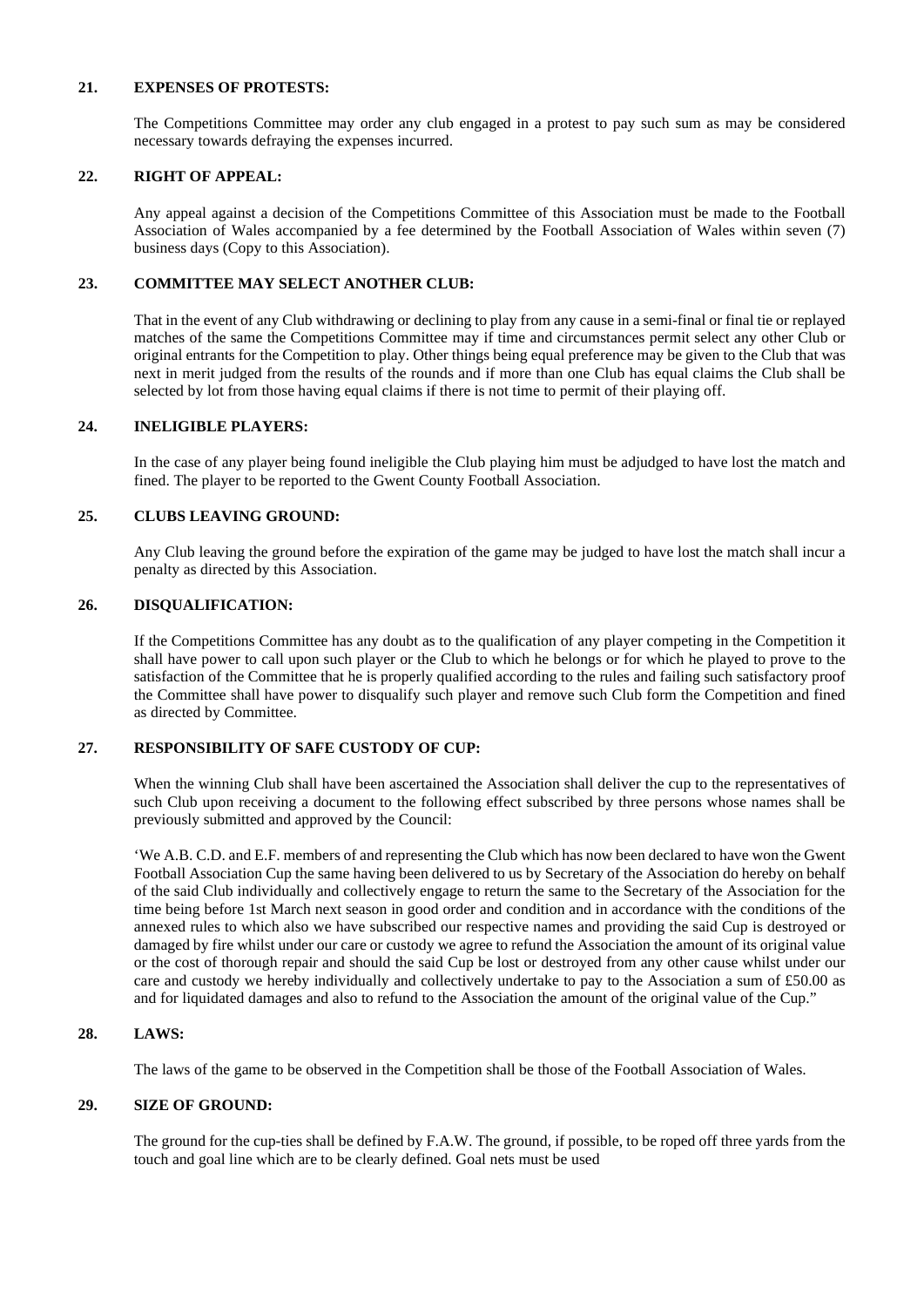# **21. EXPENSES OF PROTESTS:**

The Competitions Committee may order any club engaged in a protest to pay such sum as may be considered necessary towards defraying the expenses incurred.

## **22. RIGHT OF APPEAL:**

Any appeal against a decision of the Competitions Committee of this Association must be made to the Football Association of Wales accompanied by a fee determined by the Football Association of Wales within seven (7) business days (Copy to this Association).

# **23. COMMITTEE MAY SELECT ANOTHER CLUB:**

That in the event of any Club withdrawing or declining to play from any cause in a semi-final or final tie or replayed matches of the same the Competitions Committee may if time and circumstances permit select any other Club or original entrants for the Competition to play. Other things being equal preference may be given to the Club that was next in merit judged from the results of the rounds and if more than one Club has equal claims the Club shall be selected by lot from those having equal claims if there is not time to permit of their playing off.

### **24. INELIGIBLE PLAYERS:**

In the case of any player being found ineligible the Club playing him must be adjudged to have lost the match and fined. The player to be reported to the Gwent County Football Association.

### **25. CLUBS LEAVING GROUND:**

Any Club leaving the ground before the expiration of the game may be judged to have lost the match shall incur a penalty as directed by this Association.

### **26. DISQUALIFICATION:**

If the Competitions Committee has any doubt as to the qualification of any player competing in the Competition it shall have power to call upon such player or the Club to which he belongs or for which he played to prove to the satisfaction of the Committee that he is properly qualified according to the rules and failing such satisfactory proof the Committee shall have power to disqualify such player and remove such Club form the Competition and fined as directed by Committee.

# **27. RESPONSIBILITY OF SAFE CUSTODY OF CUP:**

When the winning Club shall have been ascertained the Association shall deliver the cup to the representatives of such Club upon receiving a document to the following effect subscribed by three persons whose names shall be previously submitted and approved by the Council:

'We A.B. C.D. and E.F. members of and representing the Club which has now been declared to have won the Gwent Football Association Cup the same having been delivered to us by Secretary of the Association do hereby on behalf of the said Club individually and collectively engage to return the same to the Secretary of the Association for the time being before 1st March next season in good order and condition and in accordance with the conditions of the annexed rules to which also we have subscribed our respective names and providing the said Cup is destroyed or damaged by fire whilst under our care or custody we agree to refund the Association the amount of its original value or the cost of thorough repair and should the said Cup be lost or destroyed from any other cause whilst under our care and custody we hereby individually and collectively undertake to pay to the Association a sum of £50.00 as and for liquidated damages and also to refund to the Association the amount of the original value of the Cup."

### **28. LAWS:**

The laws of the game to be observed in the Competition shall be those of the Football Association of Wales.

# **29. SIZE OF GROUND:**

The ground for the cup-ties shall be defined by F.A.W. The ground, if possible, to be roped off three yards from the touch and goal line which are to be clearly defined. Goal nets must be used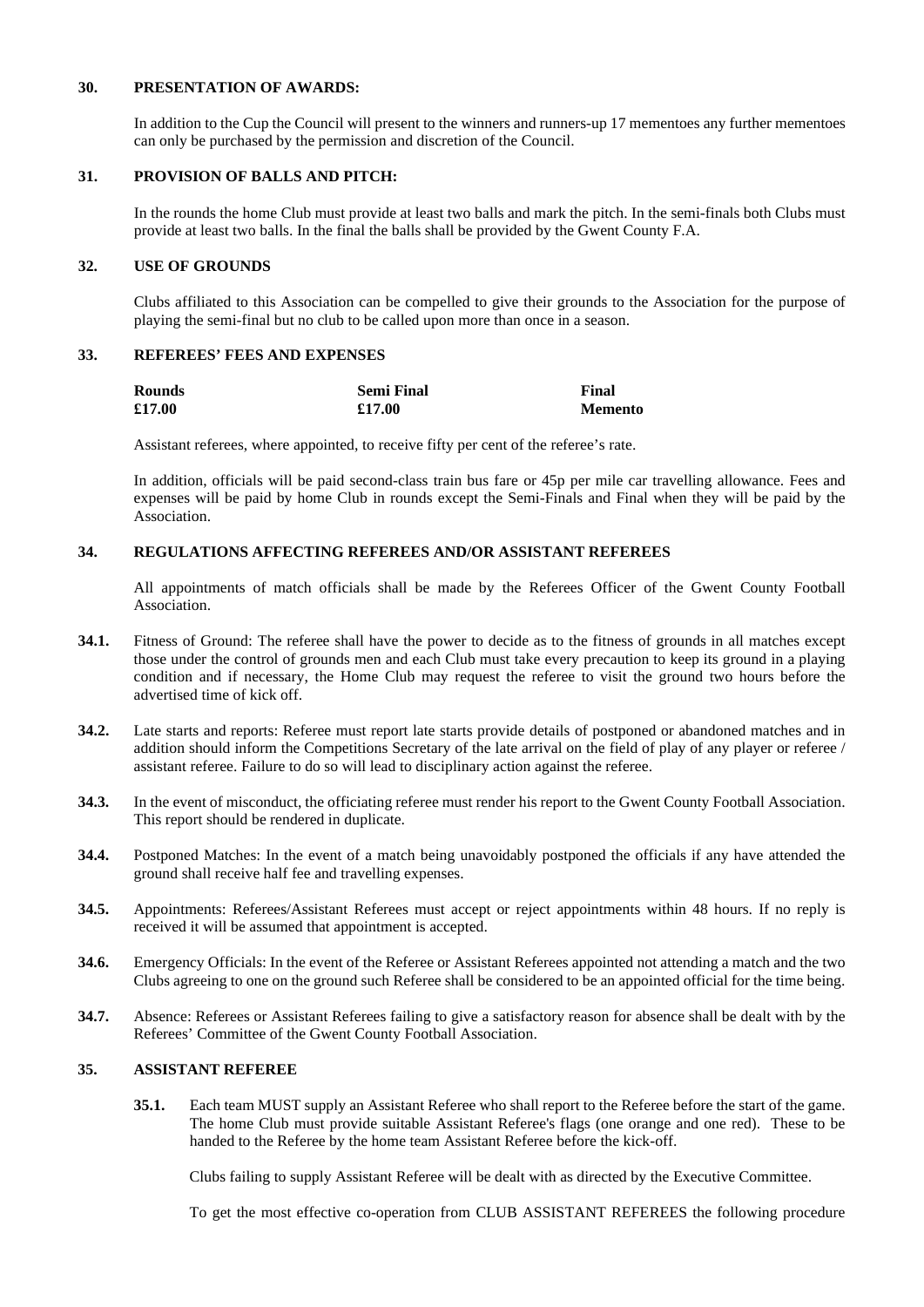### **30. PRESENTATION OF AWARDS:**

In addition to the Cup the Council will present to the winners and runners-up 17 mementoes any further mementoes can only be purchased by the permission and discretion of the Council.

# **31. PROVISION OF BALLS AND PITCH:**

In the rounds the home Club must provide at least two balls and mark the pitch. In the semi-finals both Clubs must provide at least two balls. In the final the balls shall be provided by the Gwent County F.A.

### **32. USE OF GROUNDS**

Clubs affiliated to this Association can be compelled to give their grounds to the Association for the purpose of playing the semi-final but no club to be called upon more than once in a season.

### **33. REFEREES' FEES AND EXPENSES**

| <b>Rounds</b> | <b>Semi Final</b> | Final          |
|---------------|-------------------|----------------|
| £17.00        | £17.00            | <b>Memento</b> |

Assistant referees, where appointed, to receive fifty per cent of the referee's rate.

In addition, officials will be paid second-class train bus fare or 45p per mile car travelling allowance. Fees and expenses will be paid by home Club in rounds except the Semi-Finals and Final when they will be paid by the Association.

# **34. REGULATIONS AFFECTING REFEREES AND/OR ASSISTANT REFEREES**

All appointments of match officials shall be made by the Referees Officer of the Gwent County Football Association.

- **34.1.** Fitness of Ground: The referee shall have the power to decide as to the fitness of grounds in all matches except those under the control of grounds men and each Club must take every precaution to keep its ground in a playing condition and if necessary, the Home Club may request the referee to visit the ground two hours before the advertised time of kick off.
- **34.2.** Late starts and reports: Referee must report late starts provide details of postponed or abandoned matches and in addition should inform the Competitions Secretary of the late arrival on the field of play of any player or referee / assistant referee. Failure to do so will lead to disciplinary action against the referee.
- **34.3.** In the event of misconduct, the officiating referee must render his report to the Gwent County Football Association. This report should be rendered in duplicate.
- **34.4.** Postponed Matches: In the event of a match being unavoidably postponed the officials if any have attended the ground shall receive half fee and travelling expenses.
- **34.5.** Appointments: Referees/Assistant Referees must accept or reject appointments within 48 hours. If no reply is received it will be assumed that appointment is accepted.
- **34.6.** Emergency Officials: In the event of the Referee or Assistant Referees appointed not attending a match and the two Clubs agreeing to one on the ground such Referee shall be considered to be an appointed official for the time being.
- **34.7.** Absence: Referees or Assistant Referees failing to give a satisfactory reason for absence shall be dealt with by the Referees' Committee of the Gwent County Football Association.

# **35. ASSISTANT REFEREE**

**35.1.** Each team MUST supply an Assistant Referee who shall report to the Referee before the start of the game. The home Club must provide suitable Assistant Referee's flags (one orange and one red). These to be handed to the Referee by the home team Assistant Referee before the kick-off.

Clubs failing to supply Assistant Referee will be dealt with as directed by the Executive Committee.

To get the most effective co-operation from CLUB ASSISTANT REFEREES the following procedure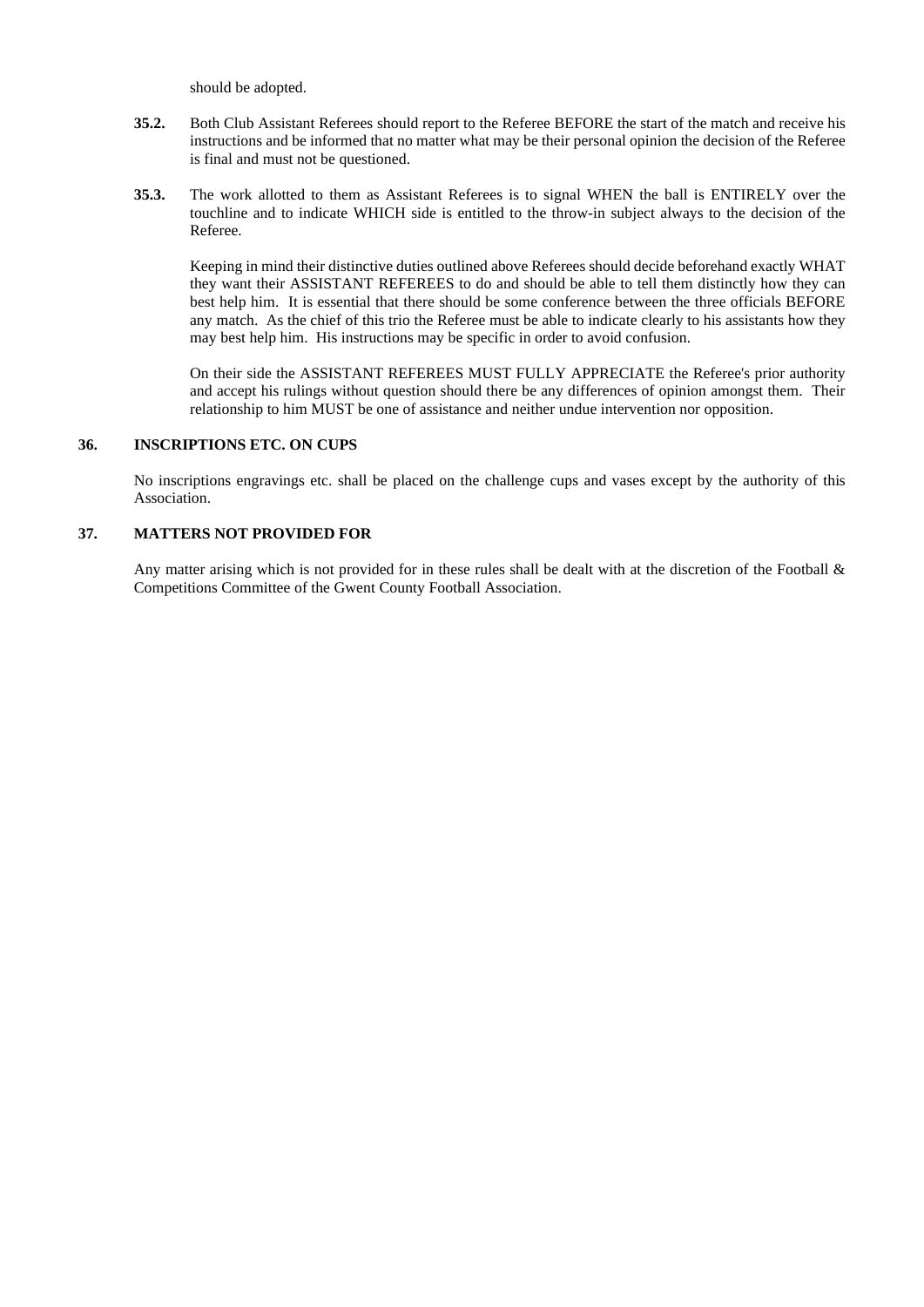should be adopted.

- **35.2.** Both Club Assistant Referees should report to the Referee BEFORE the start of the match and receive his instructions and be informed that no matter what may be their personal opinion the decision of the Referee is final and must not be questioned.
- **35.3.** The work allotted to them as Assistant Referees is to signal WHEN the ball is ENTIRELY over the touchline and to indicate WHICH side is entitled to the throw-in subject always to the decision of the Referee.

Keeping in mind their distinctive duties outlined above Referees should decide beforehand exactly WHAT they want their ASSISTANT REFEREES to do and should be able to tell them distinctly how they can best help him. It is essential that there should be some conference between the three officials BEFORE any match. As the chief of this trio the Referee must be able to indicate clearly to his assistants how they may best help him. His instructions may be specific in order to avoid confusion.

On their side the ASSISTANT REFEREES MUST FULLY APPRECIATE the Referee's prior authority and accept his rulings without question should there be any differences of opinion amongst them. Their relationship to him MUST be one of assistance and neither undue intervention nor opposition.

### **36. INSCRIPTIONS ETC. ON CUPS**

No inscriptions engravings etc. shall be placed on the challenge cups and vases except by the authority of this Association.

# **37. MATTERS NOT PROVIDED FOR**

Any matter arising which is not provided for in these rules shall be dealt with at the discretion of the Football & Competitions Committee of the Gwent County Football Association.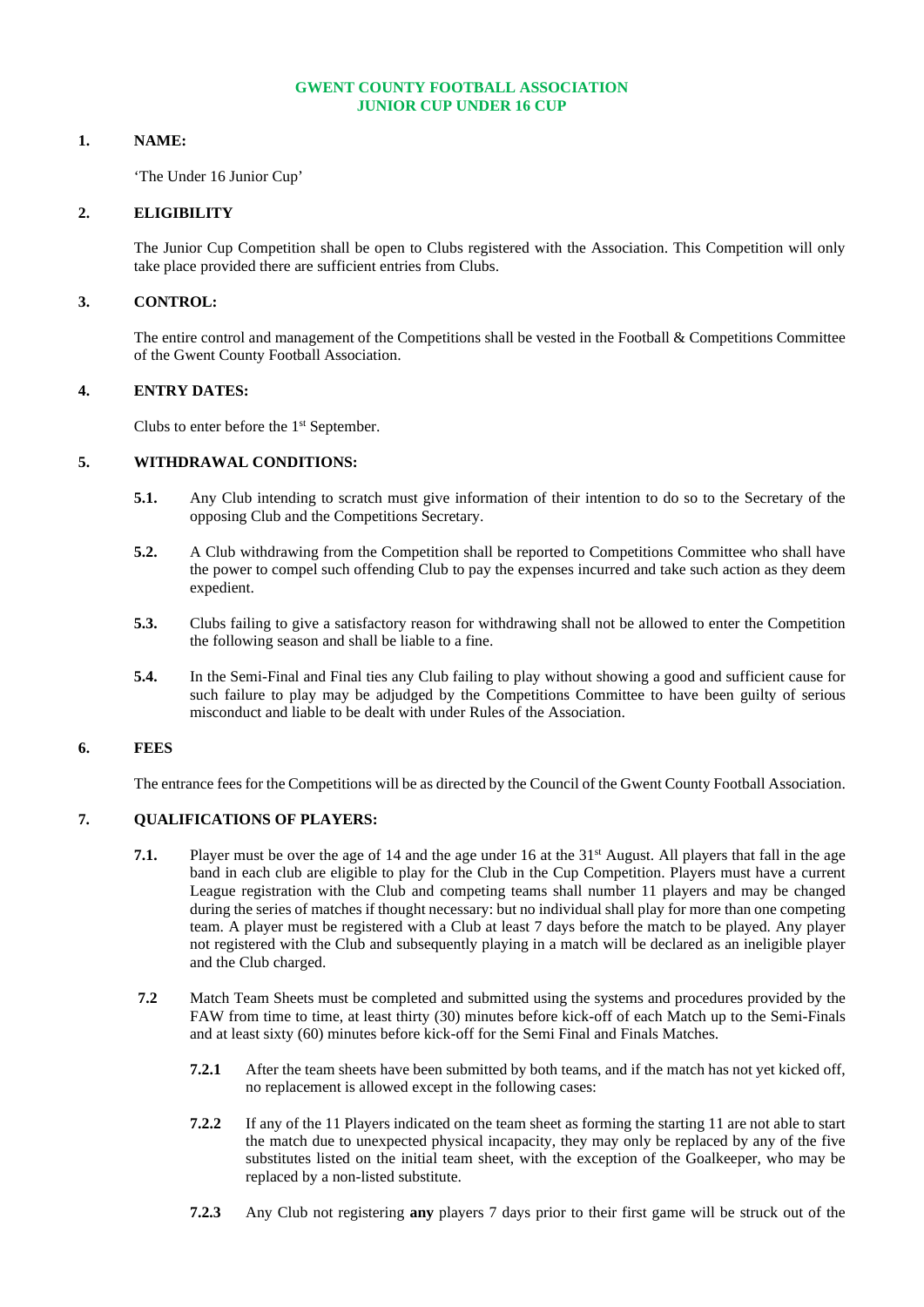# **GWENT COUNTY FOOTBALL ASSOCIATION JUNIOR CUP UNDER 16 CUP**

# **1. NAME:**

'The Under 16 Junior Cup'

# **2. ELIGIBILITY**

The Junior Cup Competition shall be open to Clubs registered with the Association. This Competition will only take place provided there are sufficient entries from Clubs.

# **3. CONTROL:**

The entire control and management of the Competitions shall be vested in the Football & Competitions Committee of the Gwent County Football Association.

# **4. ENTRY DATES:**

Clubs to enter before the 1<sup>st</sup> September.

# **5. WITHDRAWAL CONDITIONS:**

- **5.1.** Any Club intending to scratch must give information of their intention to do so to the Secretary of the opposing Club and the Competitions Secretary.
- **5.2.** A Club withdrawing from the Competition shall be reported to Competitions Committee who shall have the power to compel such offending Club to pay the expenses incurred and take such action as they deem expedient.
- **5.3.** Clubs failing to give a satisfactory reason for withdrawing shall not be allowed to enter the Competition the following season and shall be liable to a fine.
- **5.4.** In the Semi-Final and Final ties any Club failing to play without showing a good and sufficient cause for such failure to play may be adjudged by the Competitions Committee to have been guilty of serious misconduct and liable to be dealt with under Rules of the Association.

# **6. FEES**

The entrance fees for the Competitions will be as directed by the Council of the Gwent County Football Association.

# **7. QUALIFICATIONS OF PLAYERS:**

- **7.1.** Player must be over the age of 14 and the age under 16 at the 31<sup>st</sup> August. All players that fall in the age band in each club are eligible to play for the Club in the Cup Competition. Players must have a current League registration with the Club and competing teams shall number 11 players and may be changed during the series of matches if thought necessary: but no individual shall play for more than one competing team. A player must be registered with a Club at least 7 days before the match to be played. Any player not registered with the Club and subsequently playing in a match will be declared as an ineligible player and the Club charged.
- **7.2** Match Team Sheets must be completed and submitted using the systems and procedures provided by the FAW from time to time, at least thirty (30) minutes before kick-off of each Match up to the Semi-Finals and at least sixty (60) minutes before kick-off for the Semi Final and Finals Matches.
	- **7.2.1** After the team sheets have been submitted by both teams, and if the match has not yet kicked off, no replacement is allowed except in the following cases:
	- **7.2.2** If any of the 11 Players indicated on the team sheet as forming the starting 11 are not able to start the match due to unexpected physical incapacity, they may only be replaced by any of the five substitutes listed on the initial team sheet, with the exception of the Goalkeeper, who may be replaced by a non-listed substitute.
	- **7.2.3** Any Club not registering **any** players 7 days prior to their first game will be struck out of the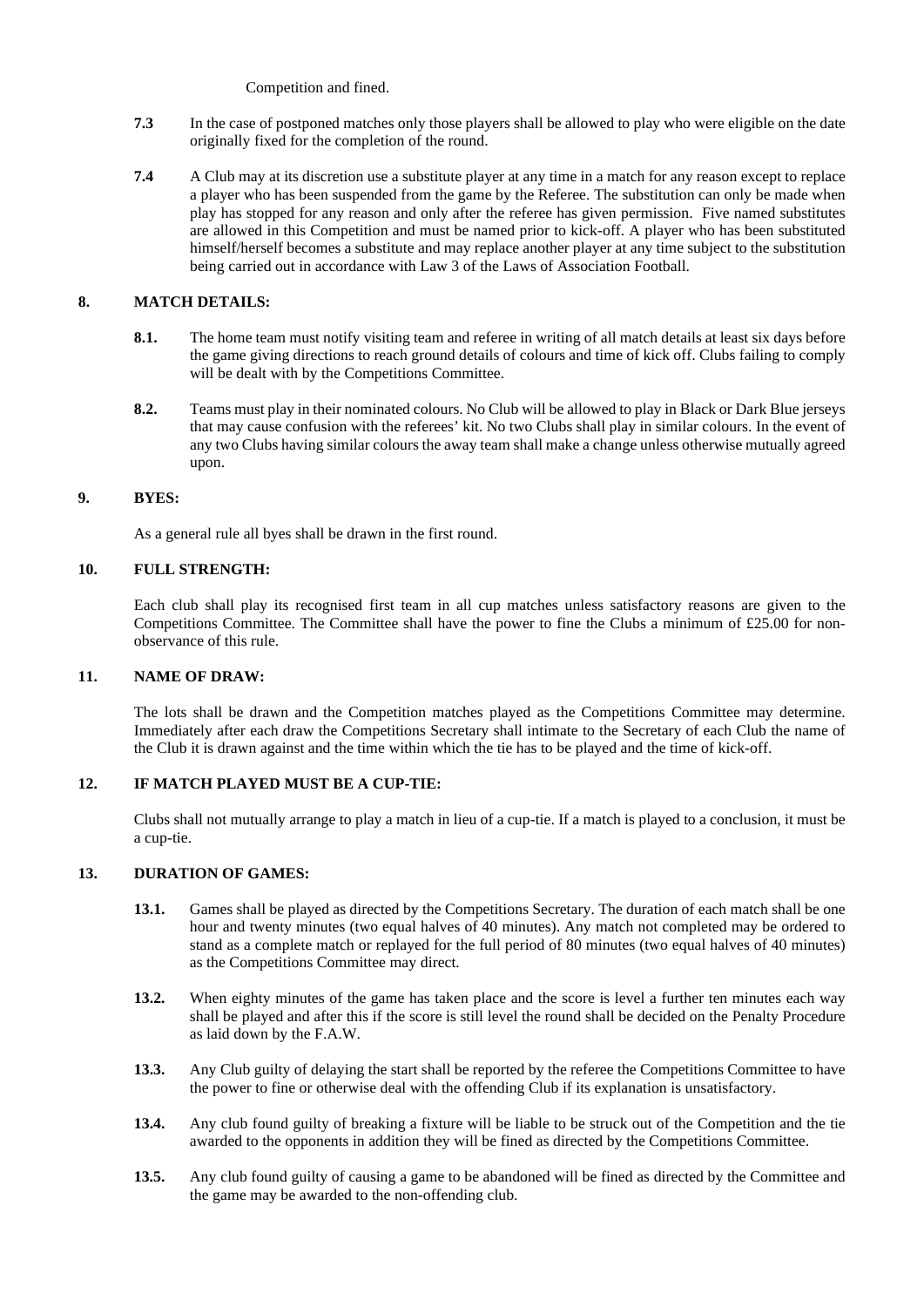Competition and fined.

- **7.3** In the case of postponed matches only those players shall be allowed to play who were eligible on the date originally fixed for the completion of the round.
- **7.4** A Club may at its discretion use a substitute player at any time in a match for any reason except to replace a player who has been suspended from the game by the Referee. The substitution can only be made when play has stopped for any reason and only after the referee has given permission. Five named substitutes are allowed in this Competition and must be named prior to kick-off. A player who has been substituted himself/herself becomes a substitute and may replace another player at any time subject to the substitution being carried out in accordance with Law 3 of the Laws of Association Football.

# **8. MATCH DETAILS:**

- **8.1.** The home team must notify visiting team and referee in writing of all match details at least six days before the game giving directions to reach ground details of colours and time of kick off. Clubs failing to comply will be dealt with by the Competitions Committee.
- **8.2.** Teams must play in their nominated colours. No Club will be allowed to play in Black or Dark Blue jerseys that may cause confusion with the referees' kit. No two Clubs shall play in similar colours. In the event of any two Clubs having similar colours the away team shall make a change unless otherwise mutually agreed upon.

# **9. BYES:**

As a general rule all byes shall be drawn in the first round.

# **10. FULL STRENGTH:**

Each club shall play its recognised first team in all cup matches unless satisfactory reasons are given to the Competitions Committee. The Committee shall have the power to fine the Clubs a minimum of £25.00 for nonobservance of this rule.

# **11. NAME OF DRAW:**

The lots shall be drawn and the Competition matches played as the Competitions Committee may determine. Immediately after each draw the Competitions Secretary shall intimate to the Secretary of each Club the name of the Club it is drawn against and the time within which the tie has to be played and the time of kick-off.

# **12. IF MATCH PLAYED MUST BE A CUP-TIE:**

Clubs shall not mutually arrange to play a match in lieu of a cup-tie. If a match is played to a conclusion, it must be a cup-tie.

# **13. DURATION OF GAMES:**

- **13.1.** Games shall be played as directed by the Competitions Secretary. The duration of each match shall be one hour and twenty minutes (two equal halves of 40 minutes). Any match not completed may be ordered to stand as a complete match or replayed for the full period of 80 minutes (two equal halves of 40 minutes) as the Competitions Committee may direct.
- **13.2.** When eighty minutes of the game has taken place and the score is level a further ten minutes each way shall be played and after this if the score is still level the round shall be decided on the Penalty Procedure as laid down by the F.A.W.
- **13.3.** Any Club guilty of delaying the start shall be reported by the referee the Competitions Committee to have the power to fine or otherwise deal with the offending Club if its explanation is unsatisfactory.
- **13.4.** Any club found guilty of breaking a fixture will be liable to be struck out of the Competition and the tie awarded to the opponents in addition they will be fined as directed by the Competitions Committee.
- **13.5.** Any club found guilty of causing a game to be abandoned will be fined as directed by the Committee and the game may be awarded to the non-offending club.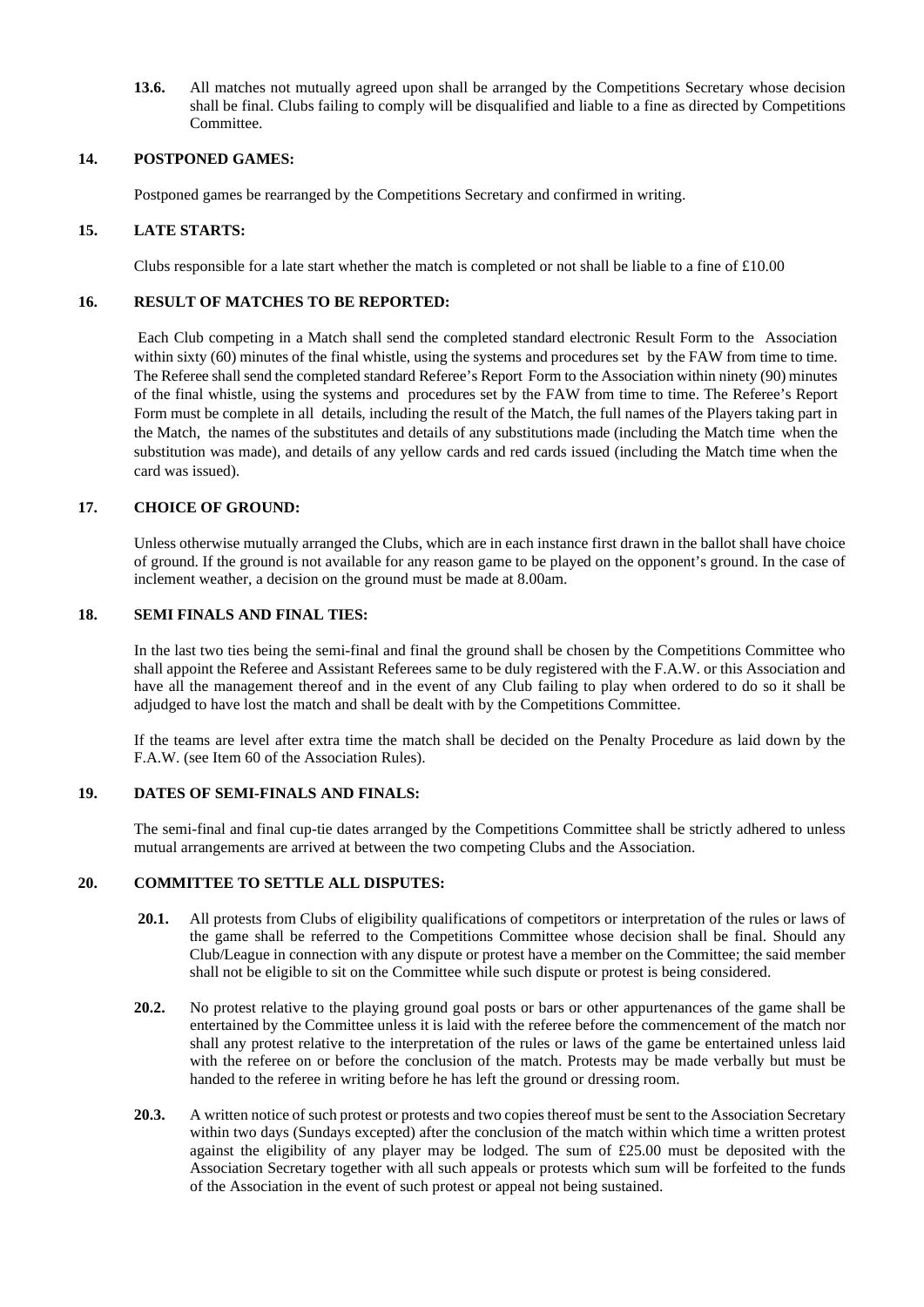**13.6.** All matches not mutually agreed upon shall be arranged by the Competitions Secretary whose decision shall be final. Clubs failing to comply will be disqualified and liable to a fine as directed by Competitions Committee.

# **14. POSTPONED GAMES:**

Postponed games be rearranged by the Competitions Secretary and confirmed in writing.

# **15. LATE STARTS:**

Clubs responsible for a late start whether the match is completed or not shall be liable to a fine of  $\text{\pounds}10.00$ 

# **16. RESULT OF MATCHES TO BE REPORTED:**

Each Club competing in a Match shall send the completed standard electronic Result Form to the Association within sixty (60) minutes of the final whistle, using the systems and procedures set by the FAW from time to time. The Referee shallsend the completed standard Referee's Report Form to the Association within ninety (90) minutes of the final whistle, using the systems and procedures set by the FAW from time to time. The Referee's Report Form must be complete in all details, including the result of the Match, the full names of the Players taking part in the Match, the names of the substitutes and details of any substitutions made (including the Match time when the substitution was made), and details of any yellow cards and red cards issued (including the Match time when the card was issued).

# **17. CHOICE OF GROUND:**

Unless otherwise mutually arranged the Clubs, which are in each instance first drawn in the ballot shall have choice of ground. If the ground is not available for any reason game to be played on the opponent's ground. In the case of inclement weather, a decision on the ground must be made at 8.00am.

# **18. SEMI FINALS AND FINAL TIES:**

In the last two ties being the semi-final and final the ground shall be chosen by the Competitions Committee who shall appoint the Referee and Assistant Referees same to be duly registered with the F.A.W. or this Association and have all the management thereof and in the event of any Club failing to play when ordered to do so it shall be adjudged to have lost the match and shall be dealt with by the Competitions Committee.

If the teams are level after extra time the match shall be decided on the Penalty Procedure as laid down by the F.A.W. (see Item 60 of the Association Rules).

# **19. DATES OF SEMI-FINALS AND FINALS:**

The semi-final and final cup-tie dates arranged by the Competitions Committee shall be strictly adhered to unless mutual arrangements are arrived at between the two competing Clubs and the Association.

# **20. COMMITTEE TO SETTLE ALL DISPUTES:**

- **20.1.** All protests from Clubs of eligibility qualifications of competitors or interpretation of the rules or laws of the game shall be referred to the Competitions Committee whose decision shall be final. Should any Club/League in connection with any dispute or protest have a member on the Committee; the said member shall not be eligible to sit on the Committee while such dispute or protest is being considered.
- **20.2.** No protest relative to the playing ground goal posts or bars or other appurtenances of the game shall be entertained by the Committee unless it is laid with the referee before the commencement of the match nor shall any protest relative to the interpretation of the rules or laws of the game be entertained unless laid with the referee on or before the conclusion of the match. Protests may be made verbally but must be handed to the referee in writing before he has left the ground or dressing room.
- **20.3.** A written notice of such protest or protests and two copies thereof must be sent to the Association Secretary within two days (Sundays excepted) after the conclusion of the match within which time a written protest against the eligibility of any player may be lodged. The sum of £25.00 must be deposited with the Association Secretary together with all such appeals or protests which sum will be forfeited to the funds of the Association in the event of such protest or appeal not being sustained.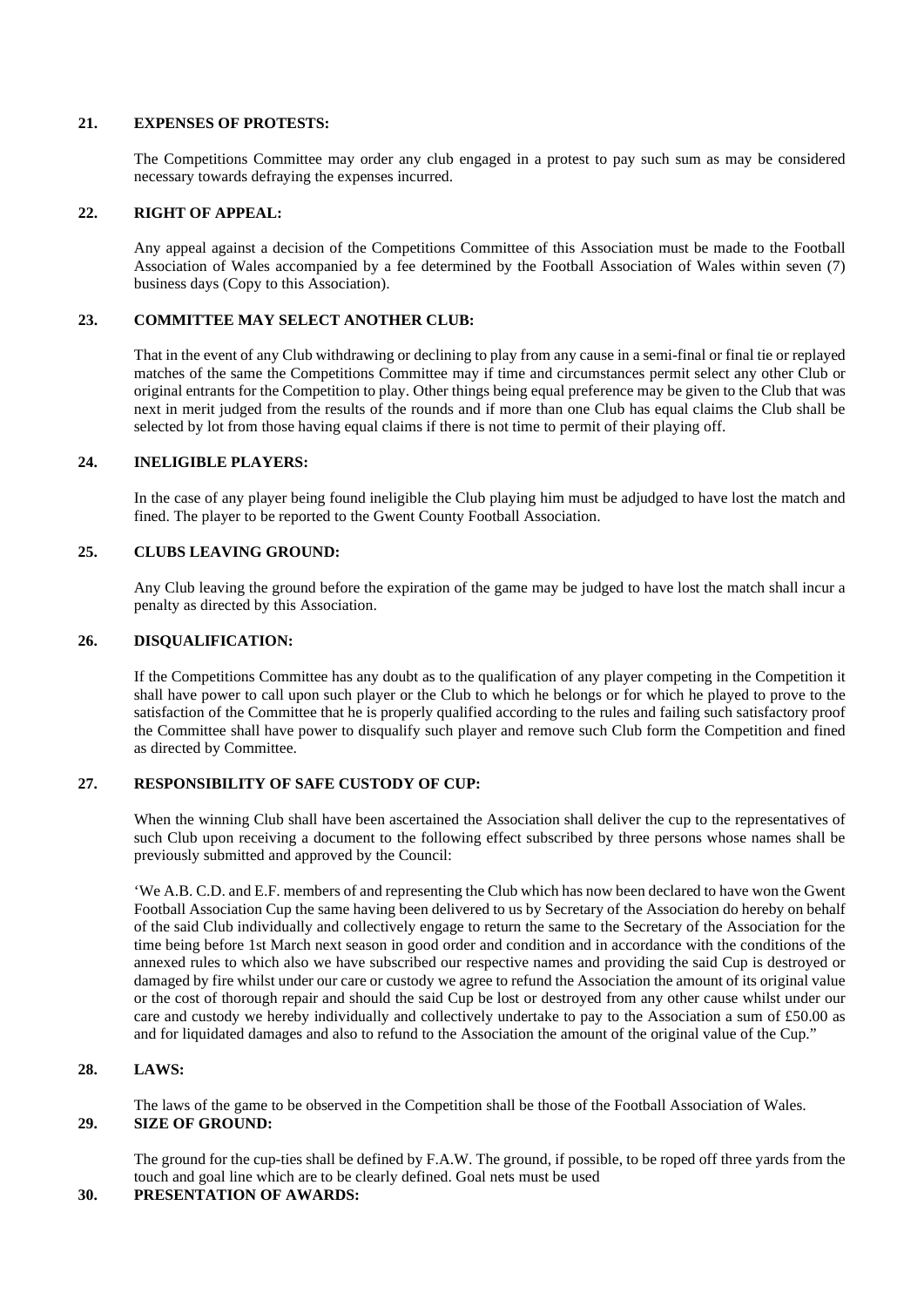### **21. EXPENSES OF PROTESTS:**

The Competitions Committee may order any club engaged in a protest to pay such sum as may be considered necessary towards defraying the expenses incurred.

### **22. RIGHT OF APPEAL:**

Any appeal against a decision of the Competitions Committee of this Association must be made to the Football Association of Wales accompanied by a fee determined by the Football Association of Wales within seven (7) business days (Copy to this Association).

# **23. COMMITTEE MAY SELECT ANOTHER CLUB:**

That in the event of any Club withdrawing or declining to play from any cause in a semi-final or final tie or replayed matches of the same the Competitions Committee may if time and circumstances permit select any other Club or original entrants for the Competition to play. Other things being equal preference may be given to the Club that was next in merit judged from the results of the rounds and if more than one Club has equal claims the Club shall be selected by lot from those having equal claims if there is not time to permit of their playing off.

### **24. INELIGIBLE PLAYERS:**

In the case of any player being found ineligible the Club playing him must be adjudged to have lost the match and fined. The player to be reported to the Gwent County Football Association.

### **25. CLUBS LEAVING GROUND:**

Any Club leaving the ground before the expiration of the game may be judged to have lost the match shall incur a penalty as directed by this Association.

# **26. DISQUALIFICATION:**

If the Competitions Committee has any doubt as to the qualification of any player competing in the Competition it shall have power to call upon such player or the Club to which he belongs or for which he played to prove to the satisfaction of the Committee that he is properly qualified according to the rules and failing such satisfactory proof the Committee shall have power to disqualify such player and remove such Club form the Competition and fined as directed by Committee.

# **27. RESPONSIBILITY OF SAFE CUSTODY OF CUP:**

When the winning Club shall have been ascertained the Association shall deliver the cup to the representatives of such Club upon receiving a document to the following effect subscribed by three persons whose names shall be previously submitted and approved by the Council:

'We A.B. C.D. and E.F. members of and representing the Club which has now been declared to have won the Gwent Football Association Cup the same having been delivered to us by Secretary of the Association do hereby on behalf of the said Club individually and collectively engage to return the same to the Secretary of the Association for the time being before 1st March next season in good order and condition and in accordance with the conditions of the annexed rules to which also we have subscribed our respective names and providing the said Cup is destroyed or damaged by fire whilst under our care or custody we agree to refund the Association the amount of its original value or the cost of thorough repair and should the said Cup be lost or destroyed from any other cause whilst under our care and custody we hereby individually and collectively undertake to pay to the Association a sum of £50.00 as and for liquidated damages and also to refund to the Association the amount of the original value of the Cup."

### **28. LAWS:**

The laws of the game to be observed in the Competition shall be those of the Football Association of Wales. **29. SIZE OF GROUND:**

The ground for the cup-ties shall be defined by F.A.W. The ground, if possible, to be roped off three yards from the touch and goal line which are to be clearly defined. Goal nets must be used

**30. PRESENTATION OF AWARDS:**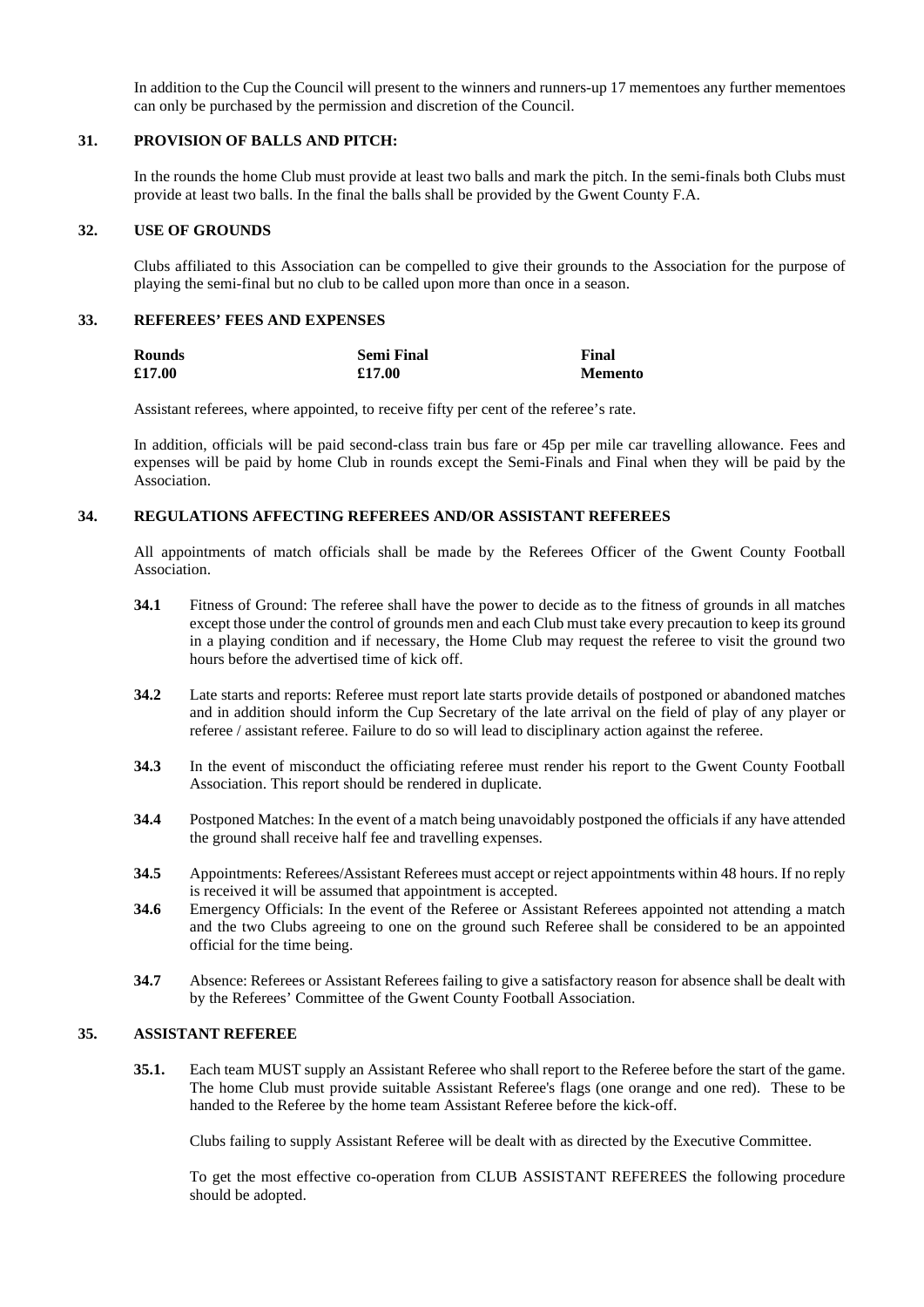In addition to the Cup the Council will present to the winners and runners-up 17 mementoes any further mementoes can only be purchased by the permission and discretion of the Council.

### **31. PROVISION OF BALLS AND PITCH:**

In the rounds the home Club must provide at least two balls and mark the pitch. In the semi-finals both Clubs must provide at least two balls. In the final the balls shall be provided by the Gwent County F.A.

# **32. USE OF GROUNDS**

Clubs affiliated to this Association can be compelled to give their grounds to the Association for the purpose of playing the semi-final but no club to be called upon more than once in a season.

# **33. REFEREES' FEES AND EXPENSES**

| <b>Rounds</b> | <b>Semi Final</b> | Final          |
|---------------|-------------------|----------------|
| £17.00        | £17.00            | <b>Memento</b> |

Assistant referees, where appointed, to receive fifty per cent of the referee's rate.

In addition, officials will be paid second-class train bus fare or 45p per mile car travelling allowance. Fees and expenses will be paid by home Club in rounds except the Semi-Finals and Final when they will be paid by the Association.

### **34. REGULATIONS AFFECTING REFEREES AND/OR ASSISTANT REFEREES**

All appointments of match officials shall be made by the Referees Officer of the Gwent County Football Association.

- **34.1** Fitness of Ground: The referee shall have the power to decide as to the fitness of grounds in all matches except those under the control of grounds men and each Club must take every precaution to keep its ground in a playing condition and if necessary, the Home Club may request the referee to visit the ground two hours before the advertised time of kick off.
- **34.2** Late starts and reports: Referee must report late starts provide details of postponed or abandoned matches and in addition should inform the Cup Secretary of the late arrival on the field of play of any player or referee / assistant referee. Failure to do so will lead to disciplinary action against the referee.
- **34.3** In the event of misconduct the officiating referee must render his report to the Gwent County Football Association. This report should be rendered in duplicate.
- **34.4** Postponed Matches: In the event of a match being unavoidably postponed the officials if any have attended the ground shall receive half fee and travelling expenses.
- **34.5** Appointments: Referees/Assistant Referees must accept or reject appointments within 48 hours. If no reply is received it will be assumed that appointment is accepted.
- **34.6** Emergency Officials: In the event of the Referee or Assistant Referees appointed not attending a match and the two Clubs agreeing to one on the ground such Referee shall be considered to be an appointed official for the time being.
- **34.7** Absence: Referees or Assistant Referees failing to give a satisfactory reason for absence shall be dealt with by the Referees' Committee of the Gwent County Football Association.

# **35. ASSISTANT REFEREE**

**35.1.** Each team MUST supply an Assistant Referee who shall report to the Referee before the start of the game. The home Club must provide suitable Assistant Referee's flags (one orange and one red). These to be handed to the Referee by the home team Assistant Referee before the kick-off.

Clubs failing to supply Assistant Referee will be dealt with as directed by the Executive Committee.

To get the most effective co-operation from CLUB ASSISTANT REFEREES the following procedure should be adopted.